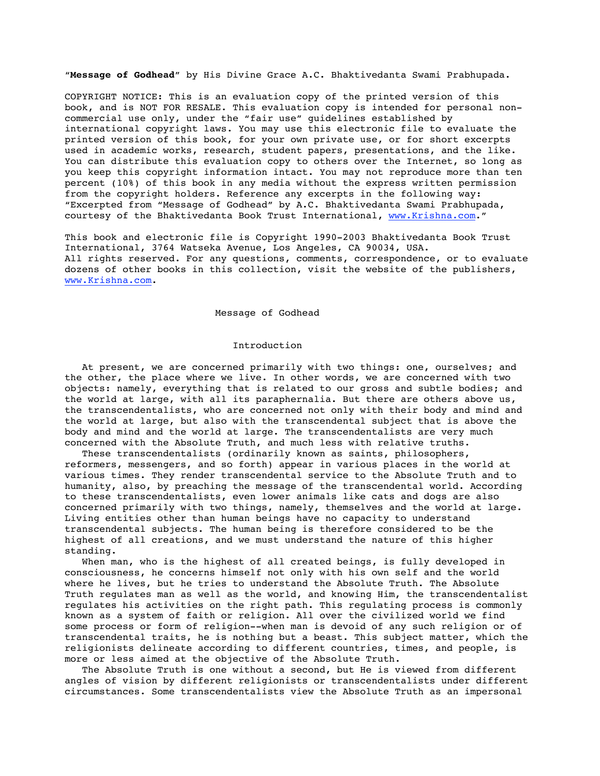"**Message of Godhead**" by His Divine Grace A.C. Bhaktivedanta Swami Prabhupada.

COPYRIGHT NOTICE: This is an evaluation copy of the printed version of this book, and is NOT FOR RESALE. This evaluation copy is intended for personal noncommercial use only, under the "fair use" guidelines established by international copyright laws. You may use this electronic file to evaluate the printed version of this book, for your own private use, or for short excerpts used in academic works, research, student papers, presentations, and the like. You can distribute this evaluation copy to others over the Internet, so long as you keep this copyright information intact. You may not reproduce more than ten percent (10%) of this book in any media without the express written permission from the copyright holders. Reference any excerpts in the following way: "Excerpted from "Message of Godhead" by A.C. Bhaktivedanta Swami Prabhupada, courtesy of the Bhaktivedanta Book Trust International, www.Krishna.com."

This book and electronic file is Copyright 1990-2003 Bhaktivedanta Book Trust International, 3764 Watseka Avenue, Los Angeles, CA 90034, USA. All rights reserved. For any questions, comments, correspondence, or to evaluate dozens of other books in this collection, visit the website of the publishers, www.Krishna.com.

### Message of Godhead

### Introduction

 At present, we are concerned primarily with two things: one, ourselves; and the other, the place where we live. In other words, we are concerned with two objects: namely, everything that is related to our gross and subtle bodies; and the world at large, with all its paraphernalia. But there are others above us, the transcendentalists, who are concerned not only with their body and mind and the world at large, but also with the transcendental subject that is above the body and mind and the world at large. The transcendentalists are very much concerned with the Absolute Truth, and much less with relative truths.

 These transcendentalists (ordinarily known as saints, philosophers, reformers, messengers, and so forth) appear in various places in the world at various times. They render transcendental service to the Absolute Truth and to humanity, also, by preaching the message of the transcendental world. According to these transcendentalists, even lower animals like cats and dogs are also concerned primarily with two things, namely, themselves and the world at large. Living entities other than human beings have no capacity to understand transcendental subjects. The human being is therefore considered to be the highest of all creations, and we must understand the nature of this higher standing.

 When man, who is the highest of all created beings, is fully developed in consciousness, he concerns himself not only with his own self and the world where he lives, but he tries to understand the Absolute Truth. The Absolute Truth regulates man as well as the world, and knowing Him, the transcendentalist regulates his activities on the right path. This regulating process is commonly known as a system of faith or religion. All over the civilized world we find some process or form of religion--when man is devoid of any such religion or of transcendental traits, he is nothing but a beast. This subject matter, which the religionists delineate according to different countries, times, and people, is more or less aimed at the objective of the Absolute Truth.

 The Absolute Truth is one without a second, but He is viewed from different angles of vision by different religionists or transcendentalists under different circumstances. Some transcendentalists view the Absolute Truth as an impersonal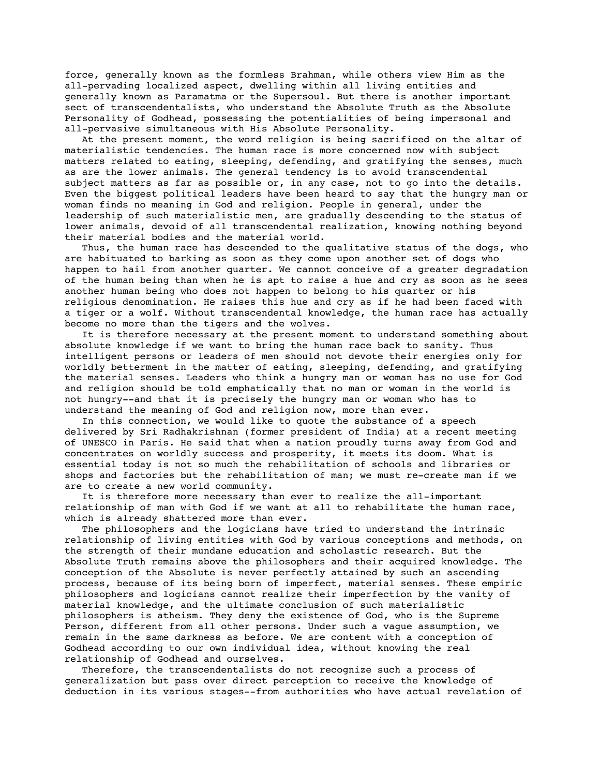force, generally known as the formless Brahman, while others view Him as the all-pervading localized aspect, dwelling within all living entities and generally known as Paramatma or the Supersoul. But there is another important sect of transcendentalists, who understand the Absolute Truth as the Absolute Personality of Godhead, possessing the potentialities of being impersonal and all-pervasive simultaneous with His Absolute Personality.

 At the present moment, the word religion is being sacrificed on the altar of materialistic tendencies. The human race is more concerned now with subject matters related to eating, sleeping, defending, and gratifying the senses, much as are the lower animals. The general tendency is to avoid transcendental subject matters as far as possible or, in any case, not to go into the details. Even the biggest political leaders have been heard to say that the hungry man or woman finds no meaning in God and religion. People in general, under the leadership of such materialistic men, are gradually descending to the status of lower animals, devoid of all transcendental realization, knowing nothing beyond their material bodies and the material world.

Thus, the human race has descended to the qualitative status of the dogs, who are habituated to barking as soon as they come upon another set of dogs who happen to hail from another quarter. We cannot conceive of a greater degradation of the human being than when he is apt to raise a hue and cry as soon as he sees another human being who does not happen to belong to his quarter or his religious denomination. He raises this hue and cry as if he had been faced with a tiger or a wolf. Without transcendental knowledge, the human race has actually become no more than the tigers and the wolves.

 It is therefore necessary at the present moment to understand something about absolute knowledge if we want to bring the human race back to sanity. Thus intelligent persons or leaders of men should not devote their energies only for worldly betterment in the matter of eating, sleeping, defending, and gratifying the material senses. Leaders who think a hungry man or woman has no use for God and religion should be told emphatically that no man or woman in the world is not hungry--and that it is precisely the hungry man or woman who has to understand the meaning of God and religion now, more than ever.

 In this connection, we would like to quote the substance of a speech delivered by Sri Radhakrishnan (former president of India) at a recent meeting of UNESCO in Paris. He said that when a nation proudly turns away from God and concentrates on worldly success and prosperity, it meets its doom. What is essential today is not so much the rehabilitation of schools and libraries or shops and factories but the rehabilitation of man; we must re-create man if we are to create a new world community.

 It is therefore more necessary than ever to realize the all-important relationship of man with God if we want at all to rehabilitate the human race, which is already shattered more than ever.

 The philosophers and the logicians have tried to understand the intrinsic relationship of living entities with God by various conceptions and methods, on the strength of their mundane education and scholastic research. But the Absolute Truth remains above the philosophers and their acquired knowledge. The conception of the Absolute is never perfectly attained by such an ascending process, because of its being born of imperfect, material senses. These empiric philosophers and logicians cannot realize their imperfection by the vanity of material knowledge, and the ultimate conclusion of such materialistic philosophers is atheism. They deny the existence of God, who is the Supreme Person, different from all other persons. Under such a vague assumption, we remain in the same darkness as before. We are content with a conception of Godhead according to our own individual idea, without knowing the real relationship of Godhead and ourselves.

 Therefore, the transcendentalists do not recognize such a process of generalization but pass over direct perception to receive the knowledge of deduction in its various stages--from authorities who have actual revelation of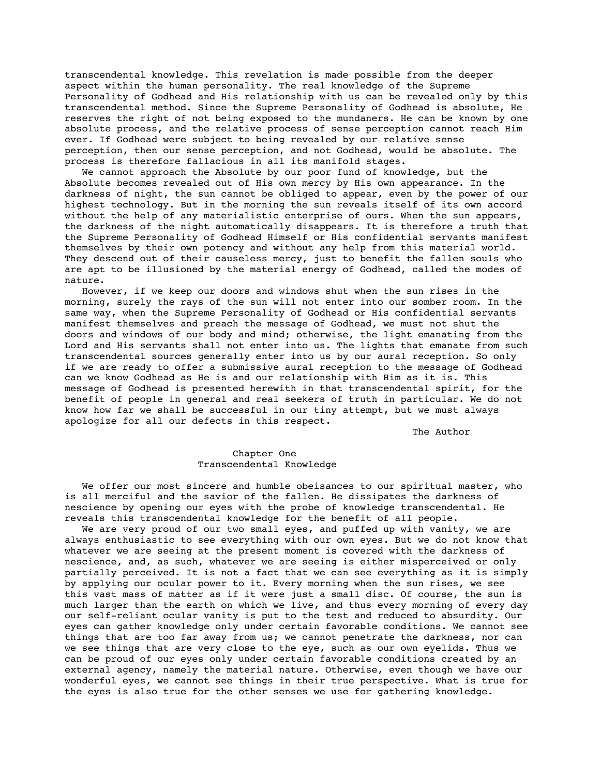transcendental knowledge. This revelation is made possible from the deeper aspect within the human personality. The real knowledge of the Supreme Personality of Godhead and His relationship with us can be revealed only by this transcendental method. Since the Supreme Personality of Godhead is absolute, He reserves the right of not being exposed to the mundaners. He can be known by one absolute process, and the relative process of sense perception cannot reach Him ever. If Godhead were subject to being revealed by our relative sense perception, then our sense perception, and not Godhead, would be absolute. The process is therefore fallacious in all its manifold stages.

 We cannot approach the Absolute by our poor fund of knowledge, but the Absolute becomes revealed out of His own mercy by His own appearance. In the darkness of night, the sun cannot be obliged to appear, even by the power of our highest technology. But in the morning the sun reveals itself of its own accord without the help of any materialistic enterprise of ours. When the sun appears, the darkness of the night automatically disappears. It is therefore a truth that the Supreme Personality of Godhead Himself or His confidential servants manifest themselves by their own potency and without any help from this material world. They descend out of their causeless mercy, just to benefit the fallen souls who are apt to be illusioned by the material energy of Godhead, called the modes of nature.

 However, if we keep our doors and windows shut when the sun rises in the morning, surely the rays of the sun will not enter into our somber room. In the same way, when the Supreme Personality of Godhead or His confidential servants manifest themselves and preach the message of Godhead, we must not shut the doors and windows of our body and mind; otherwise, the light emanating from the Lord and His servants shall not enter into us. The lights that emanate from such transcendental sources generally enter into us by our aural reception. So only if we are ready to offer a submissive aural reception to the message of Godhead can we know Godhead as He is and our relationship with Him as it is. This message of Godhead is presented herewith in that transcendental spirit, for the benefit of people in general and real seekers of truth in particular. We do not know how far we shall be successful in our tiny attempt, but we must always apologize for all our defects in this respect.

The Author

# Chapter One Transcendental Knowledge

 We offer our most sincere and humble obeisances to our spiritual master, who is all merciful and the savior of the fallen. He dissipates the darkness of nescience by opening our eyes with the probe of knowledge transcendental. He reveals this transcendental knowledge for the benefit of all people.

 We are very proud of our two small eyes, and puffed up with vanity, we are always enthusiastic to see everything with our own eyes. But we do not know that whatever we are seeing at the present moment is covered with the darkness of nescience, and, as such, whatever we are seeing is either misperceived or only partially perceived. It is not a fact that we can see everything as it is simply by applying our ocular power to it. Every morning when the sun rises, we see this vast mass of matter as if it were just a small disc. Of course, the sun is much larger than the earth on which we live, and thus every morning of every day our self-reliant ocular vanity is put to the test and reduced to absurdity. Our eyes can gather knowledge only under certain favorable conditions. We cannot see things that are too far away from us; we cannot penetrate the darkness, nor can we see things that are very close to the eye, such as our own eyelids. Thus we can be proud of our eyes only under certain favorable conditions created by an external agency, namely the material nature. Otherwise, even though we have our wonderful eyes, we cannot see things in their true perspective. What is true for the eyes is also true for the other senses we use for gathering knowledge.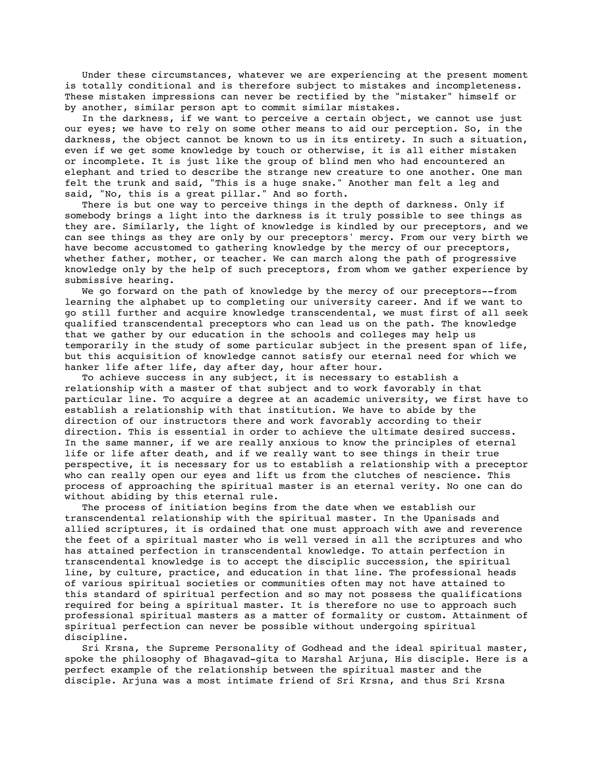Under these circumstances, whatever we are experiencing at the present moment is totally conditional and is therefore subject to mistakes and incompleteness. These mistaken impressions can never be rectified by the "mistaker" himself or by another, similar person apt to commit similar mistakes.

 In the darkness, if we want to perceive a certain object, we cannot use just our eyes; we have to rely on some other means to aid our perception. So, in the darkness, the object cannot be known to us in its entirety. In such a situation, even if we get some knowledge by touch or otherwise, it is all either mistaken or incomplete. It is just like the group of blind men who had encountered an elephant and tried to describe the strange new creature to one another. One man felt the trunk and said, "This is a huge snake." Another man felt a leg and said, "No, this is a great pillar." And so forth.

There is but one way to perceive things in the depth of darkness. Only if somebody brings a light into the darkness is it truly possible to see things as they are. Similarly, the light of knowledge is kindled by our preceptors, and we can see things as they are only by our preceptors' mercy. From our very birth we have become accustomed to gathering knowledge by the mercy of our preceptors, whether father, mother, or teacher. We can march along the path of progressive knowledge only by the help of such preceptors, from whom we gather experience by submissive hearing.

 We go forward on the path of knowledge by the mercy of our preceptors--from learning the alphabet up to completing our university career. And if we want to go still further and acquire knowledge transcendental, we must first of all seek qualified transcendental preceptors who can lead us on the path. The knowledge that we gather by our education in the schools and colleges may help us temporarily in the study of some particular subject in the present span of life, but this acquisition of knowledge cannot satisfy our eternal need for which we hanker life after life, day after day, hour after hour.

 To achieve success in any subject, it is necessary to establish a relationship with a master of that subject and to work favorably in that particular line. To acquire a degree at an academic university, we first have to establish a relationship with that institution. We have to abide by the direction of our instructors there and work favorably according to their direction. This is essential in order to achieve the ultimate desired success. In the same manner, if we are really anxious to know the principles of eternal life or life after death, and if we really want to see things in their true perspective, it is necessary for us to establish a relationship with a preceptor who can really open our eyes and lift us from the clutches of nescience. This process of approaching the spiritual master is an eternal verity. No one can do without abiding by this eternal rule.

 The process of initiation begins from the date when we establish our transcendental relationship with the spiritual master. In the Upanisads and allied scriptures, it is ordained that one must approach with awe and reverence the feet of a spiritual master who is well versed in all the scriptures and who has attained perfection in transcendental knowledge. To attain perfection in transcendental knowledge is to accept the disciplic succession, the spiritual line, by culture, practice, and education in that line. The professional heads of various spiritual societies or communities often may not have attained to this standard of spiritual perfection and so may not possess the qualifications required for being a spiritual master. It is therefore no use to approach such professional spiritual masters as a matter of formality or custom. Attainment of spiritual perfection can never be possible without undergoing spiritual discipline.

 Sri Krsna, the Supreme Personality of Godhead and the ideal spiritual master, spoke the philosophy of Bhagavad-gita to Marshal Arjuna, His disciple. Here is a perfect example of the relationship between the spiritual master and the disciple. Arjuna was a most intimate friend of Sri Krsna, and thus Sri Krsna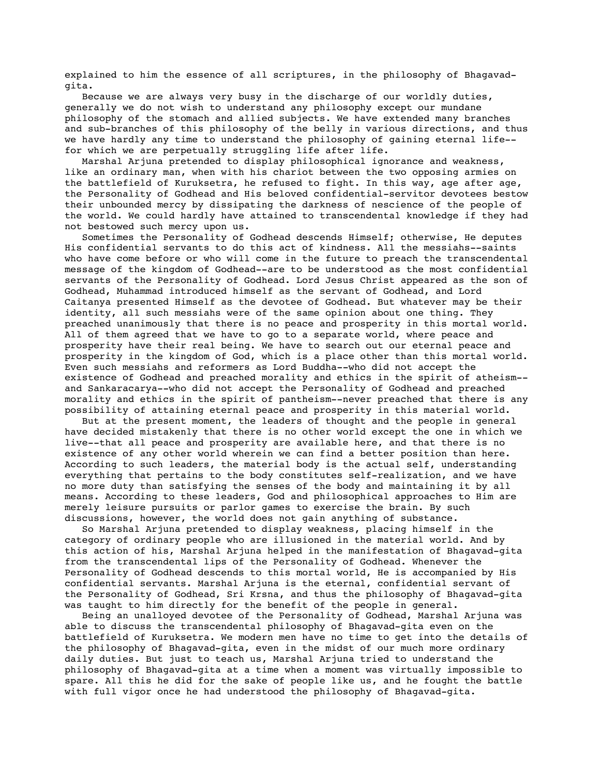explained to him the essence of all scriptures, in the philosophy of Bhagavadgita.

 Because we are always very busy in the discharge of our worldly duties, generally we do not wish to understand any philosophy except our mundane philosophy of the stomach and allied subjects. We have extended many branches and sub-branches of this philosophy of the belly in various directions, and thus we have hardly any time to understand the philosophy of gaining eternal life- for which we are perpetually struggling life after life.

 Marshal Arjuna pretended to display philosophical ignorance and weakness, like an ordinary man, when with his chariot between the two opposing armies on the battlefield of Kuruksetra, he refused to fight. In this way, age after age, the Personality of Godhead and His beloved confidential-servitor devotees bestow their unbounded mercy by dissipating the darkness of nescience of the people of the world. We could hardly have attained to transcendental knowledge if they had not bestowed such mercy upon us.

 Sometimes the Personality of Godhead descends Himself; otherwise, He deputes His confidential servants to do this act of kindness. All the messiahs--saints who have come before or who will come in the future to preach the transcendental message of the kingdom of Godhead--are to be understood as the most confidential servants of the Personality of Godhead. Lord Jesus Christ appeared as the son of Godhead, Muhammad introduced himself as the servant of Godhead, and Lord Caitanya presented Himself as the devotee of Godhead. But whatever may be their identity, all such messiahs were of the same opinion about one thing. They preached unanimously that there is no peace and prosperity in this mortal world. All of them agreed that we have to go to a separate world, where peace and prosperity have their real being. We have to search out our eternal peace and prosperity in the kingdom of God, which is a place other than this mortal world. Even such messiahs and reformers as Lord Buddha--who did not accept the existence of Godhead and preached morality and ethics in the spirit of atheism- and Sankaracarya--who did not accept the Personality of Godhead and preached morality and ethics in the spirit of pantheism--never preached that there is any possibility of attaining eternal peace and prosperity in this material world.

 But at the present moment, the leaders of thought and the people in general have decided mistakenly that there is no other world except the one in which we live--that all peace and prosperity are available here, and that there is no existence of any other world wherein we can find a better position than here. According to such leaders, the material body is the actual self, understanding everything that pertains to the body constitutes self-realization, and we have no more duty than satisfying the senses of the body and maintaining it by all means. According to these leaders, God and philosophical approaches to Him are merely leisure pursuits or parlor games to exercise the brain. By such discussions, however, the world does not gain anything of substance.

 So Marshal Arjuna pretended to display weakness, placing himself in the category of ordinary people who are illusioned in the material world. And by this action of his, Marshal Arjuna helped in the manifestation of Bhagavad-gita from the transcendental lips of the Personality of Godhead. Whenever the Personality of Godhead descends to this mortal world, He is accompanied by His confidential servants. Marshal Arjuna is the eternal, confidential servant of the Personality of Godhead, Sri Krsna, and thus the philosophy of Bhagavad-gita was taught to him directly for the benefit of the people in general.

 Being an unalloyed devotee of the Personality of Godhead, Marshal Arjuna was able to discuss the transcendental philosophy of Bhagavad-gita even on the battlefield of Kuruksetra. We modern men have no time to get into the details of the philosophy of Bhagavad-gita, even in the midst of our much more ordinary daily duties. But just to teach us, Marshal Arjuna tried to understand the philosophy of Bhagavad-gita at a time when a moment was virtually impossible to spare. All this he did for the sake of people like us, and he fought the battle with full vigor once he had understood the philosophy of Bhagavad-gita.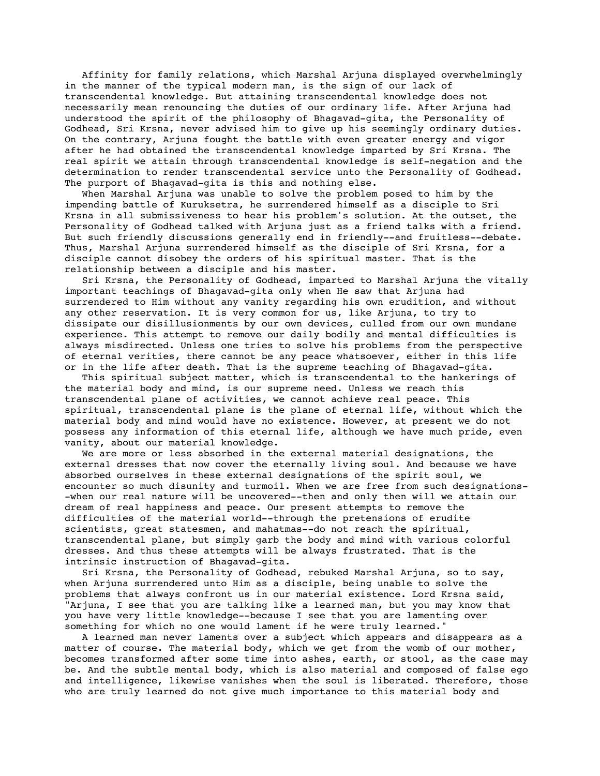Affinity for family relations, which Marshal Arjuna displayed overwhelmingly in the manner of the typical modern man, is the sign of our lack of transcendental knowledge. But attaining transcendental knowledge does not necessarily mean renouncing the duties of our ordinary life. After Arjuna had understood the spirit of the philosophy of Bhagavad-gita, the Personality of Godhead, Sri Krsna, never advised him to give up his seemingly ordinary duties. On the contrary, Arjuna fought the battle with even greater energy and vigor after he had obtained the transcendental knowledge imparted by Sri Krsna. The real spirit we attain through transcendental knowledge is self-negation and the determination to render transcendental service unto the Personality of Godhead. The purport of Bhagavad-gita is this and nothing else.

 When Marshal Arjuna was unable to solve the problem posed to him by the impending battle of Kuruksetra, he surrendered himself as a disciple to Sri Krsna in all submissiveness to hear his problem's solution. At the outset, the Personality of Godhead talked with Arjuna just as a friend talks with a friend. But such friendly discussions generally end in friendly--and fruitless--debate. Thus, Marshal Arjuna surrendered himself as the disciple of Sri Krsna, for a disciple cannot disobey the orders of his spiritual master. That is the relationship between a disciple and his master.

 Sri Krsna, the Personality of Godhead, imparted to Marshal Arjuna the vitally important teachings of Bhagavad-gita only when He saw that Arjuna had surrendered to Him without any vanity regarding his own erudition, and without any other reservation. It is very common for us, like Arjuna, to try to dissipate our disillusionments by our own devices, culled from our own mundane experience. This attempt to remove our daily bodily and mental difficulties is always misdirected. Unless one tries to solve his problems from the perspective of eternal verities, there cannot be any peace whatsoever, either in this life or in the life after death. That is the supreme teaching of Bhagavad-gita.

 This spiritual subject matter, which is transcendental to the hankerings of the material body and mind, is our supreme need. Unless we reach this transcendental plane of activities, we cannot achieve real peace. This spiritual, transcendental plane is the plane of eternal life, without which the material body and mind would have no existence. However, at present we do not possess any information of this eternal life, although we have much pride, even vanity, about our material knowledge.

 We are more or less absorbed in the external material designations, the external dresses that now cover the eternally living soul. And because we have absorbed ourselves in these external designations of the spirit soul, we encounter so much disunity and turmoil. When we are free from such designations- -when our real nature will be uncovered--then and only then will we attain our dream of real happiness and peace. Our present attempts to remove the difficulties of the material world--through the pretensions of erudite scientists, great statesmen, and mahatmas--do not reach the spiritual, transcendental plane, but simply garb the body and mind with various colorful dresses. And thus these attempts will be always frustrated. That is the intrinsic instruction of Bhagavad-gita.

 Sri Krsna, the Personality of Godhead, rebuked Marshal Arjuna, so to say, when Arjuna surrendered unto Him as a disciple, being unable to solve the problems that always confront us in our material existence. Lord Krsna said, "Arjuna, I see that you are talking like a learned man, but you may know that you have very little knowledge--because I see that you are lamenting over something for which no one would lament if he were truly learned."

 A learned man never laments over a subject which appears and disappears as a matter of course. The material body, which we get from the womb of our mother, becomes transformed after some time into ashes, earth, or stool, as the case may be. And the subtle mental body, which is also material and composed of false ego and intelligence, likewise vanishes when the soul is liberated. Therefore, those who are truly learned do not give much importance to this material body and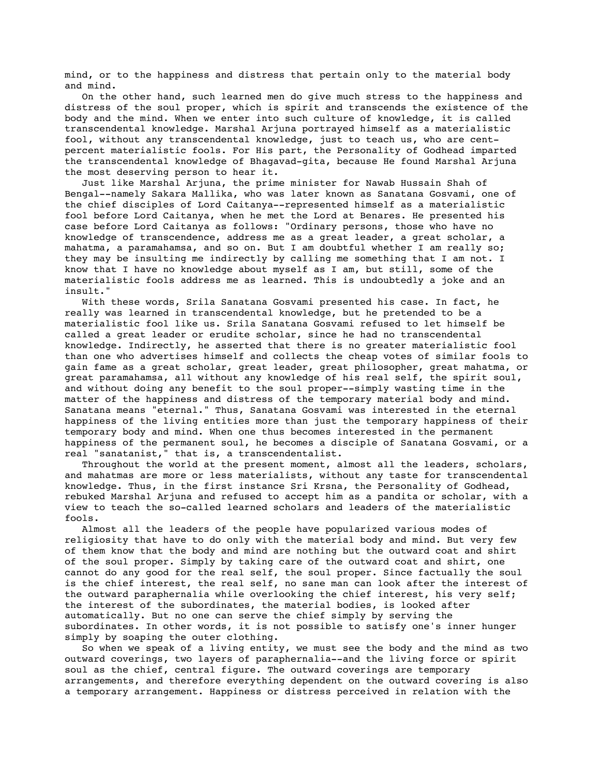mind, or to the happiness and distress that pertain only to the material body and mind.

 On the other hand, such learned men do give much stress to the happiness and distress of the soul proper, which is spirit and transcends the existence of the body and the mind. When we enter into such culture of knowledge, it is called transcendental knowledge. Marshal Arjuna portrayed himself as a materialistic fool, without any transcendental knowledge, just to teach us, who are centpercent materialistic fools. For His part, the Personality of Godhead imparted the transcendental knowledge of Bhagavad-gita, because He found Marshal Arjuna the most deserving person to hear it.

 Just like Marshal Arjuna, the prime minister for Nawab Hussain Shah of Bengal--namely Sakara Mallika, who was later known as Sanatana Gosvami, one of the chief disciples of Lord Caitanya--represented himself as a materialistic fool before Lord Caitanya, when he met the Lord at Benares. He presented his case before Lord Caitanya as follows: "Ordinary persons, those who have no knowledge of transcendence, address me as a great leader, a great scholar, a mahatma, a paramahamsa, and so on. But I am doubtful whether I am really so; they may be insulting me indirectly by calling me something that I am not. I know that I have no knowledge about myself as I am, but still, some of the materialistic fools address me as learned. This is undoubtedly a joke and an insult."

 With these words, Srila Sanatana Gosvami presented his case. In fact, he really was learned in transcendental knowledge, but he pretended to be a materialistic fool like us. Srila Sanatana Gosvami refused to let himself be called a great leader or erudite scholar, since he had no transcendental knowledge. Indirectly, he asserted that there is no greater materialistic fool than one who advertises himself and collects the cheap votes of similar fools to gain fame as a great scholar, great leader, great philosopher, great mahatma, or great paramahamsa, all without any knowledge of his real self, the spirit soul, and without doing any benefit to the soul proper--simply wasting time in the matter of the happiness and distress of the temporary material body and mind. Sanatana means "eternal." Thus, Sanatana Gosvami was interested in the eternal happiness of the living entities more than just the temporary happiness of their temporary body and mind. When one thus becomes interested in the permanent happiness of the permanent soul, he becomes a disciple of Sanatana Gosvami, or a real "sanatanist," that is, a transcendentalist.

 Throughout the world at the present moment, almost all the leaders, scholars, and mahatmas are more or less materialists, without any taste for transcendental knowledge. Thus, in the first instance Sri Krsna, the Personality of Godhead, rebuked Marshal Arjuna and refused to accept him as a pandita or scholar, with a view to teach the so-called learned scholars and leaders of the materialistic fools.

 Almost all the leaders of the people have popularized various modes of religiosity that have to do only with the material body and mind. But very few of them know that the body and mind are nothing but the outward coat and shirt of the soul proper. Simply by taking care of the outward coat and shirt, one cannot do any good for the real self, the soul proper. Since factually the soul is the chief interest, the real self, no sane man can look after the interest of the outward paraphernalia while overlooking the chief interest, his very self; the interest of the subordinates, the material bodies, is looked after automatically. But no one can serve the chief simply by serving the subordinates. In other words, it is not possible to satisfy one's inner hunger simply by soaping the outer clothing.

 So when we speak of a living entity, we must see the body and the mind as two outward coverings, two layers of paraphernalia--and the living force or spirit soul as the chief, central figure. The outward coverings are temporary arrangements, and therefore everything dependent on the outward covering is also a temporary arrangement. Happiness or distress perceived in relation with the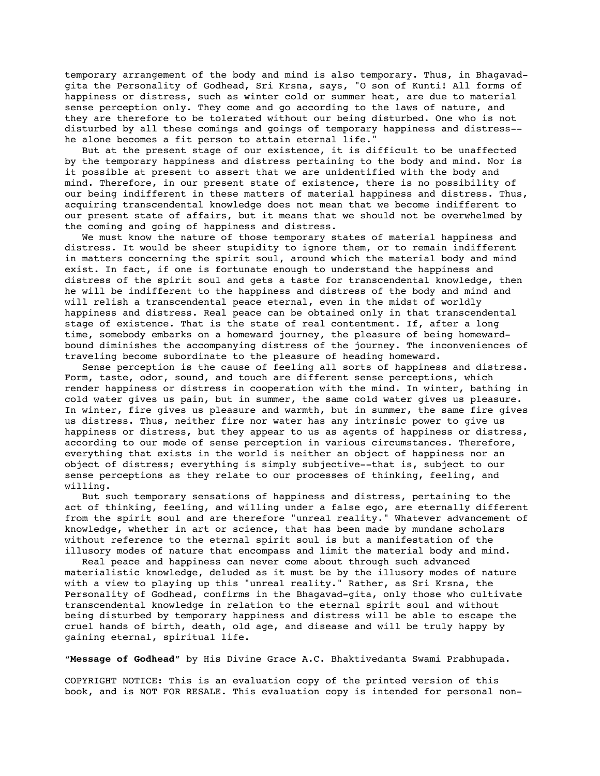temporary arrangement of the body and mind is also temporary. Thus, in Bhagavadgita the Personality of Godhead, Sri Krsna, says, "O son of Kunti! All forms of happiness or distress, such as winter cold or summer heat, are due to material sense perception only. They come and go according to the laws of nature, and they are therefore to be tolerated without our being disturbed. One who is not disturbed by all these comings and goings of temporary happiness and distress- he alone becomes a fit person to attain eternal life.'

 But at the present stage of our existence, it is difficult to be unaffected by the temporary happiness and distress pertaining to the body and mind. Nor is it possible at present to assert that we are unidentified with the body and mind. Therefore, in our present state of existence, there is no possibility of our being indifferent in these matters of material happiness and distress. Thus, acquiring transcendental knowledge does not mean that we become indifferent to our present state of affairs, but it means that we should not be overwhelmed by the coming and going of happiness and distress.

 We must know the nature of those temporary states of material happiness and distress. It would be sheer stupidity to ignore them, or to remain indifferent in matters concerning the spirit soul, around which the material body and mind exist. In fact, if one is fortunate enough to understand the happiness and distress of the spirit soul and gets a taste for transcendental knowledge, then he will be indifferent to the happiness and distress of the body and mind and will relish a transcendental peace eternal, even in the midst of worldly happiness and distress. Real peace can be obtained only in that transcendental stage of existence. That is the state of real contentment. If, after a long time, somebody embarks on a homeward journey, the pleasure of being homewardbound diminishes the accompanying distress of the journey. The inconveniences of traveling become subordinate to the pleasure of heading homeward.

 Sense perception is the cause of feeling all sorts of happiness and distress. Form, taste, odor, sound, and touch are different sense perceptions, which render happiness or distress in cooperation with the mind. In winter, bathing in cold water gives us pain, but in summer, the same cold water gives us pleasure. In winter, fire gives us pleasure and warmth, but in summer, the same fire gives us distress. Thus, neither fire nor water has any intrinsic power to give us happiness or distress, but they appear to us as agents of happiness or distress, according to our mode of sense perception in various circumstances. Therefore, everything that exists in the world is neither an object of happiness nor an object of distress; everything is simply subjective--that is, subject to our sense perceptions as they relate to our processes of thinking, feeling, and willing.

 But such temporary sensations of happiness and distress, pertaining to the act of thinking, feeling, and willing under a false ego, are eternally different from the spirit soul and are therefore "unreal reality." Whatever advancement of knowledge, whether in art or science, that has been made by mundane scholars without reference to the eternal spirit soul is but a manifestation of the illusory modes of nature that encompass and limit the material body and mind.

 Real peace and happiness can never come about through such advanced materialistic knowledge, deluded as it must be by the illusory modes of nature with a view to playing up this "unreal reality." Rather, as Sri Krsna, the Personality of Godhead, confirms in the Bhagavad-gita, only those who cultivate transcendental knowledge in relation to the eternal spirit soul and without being disturbed by temporary happiness and distress will be able to escape the cruel hands of birth, death, old age, and disease and will be truly happy by gaining eternal, spiritual life.

"**Message of Godhead**" by His Divine Grace A.C. Bhaktivedanta Swami Prabhupada.

COPYRIGHT NOTICE: This is an evaluation copy of the printed version of this book, and is NOT FOR RESALE. This evaluation copy is intended for personal non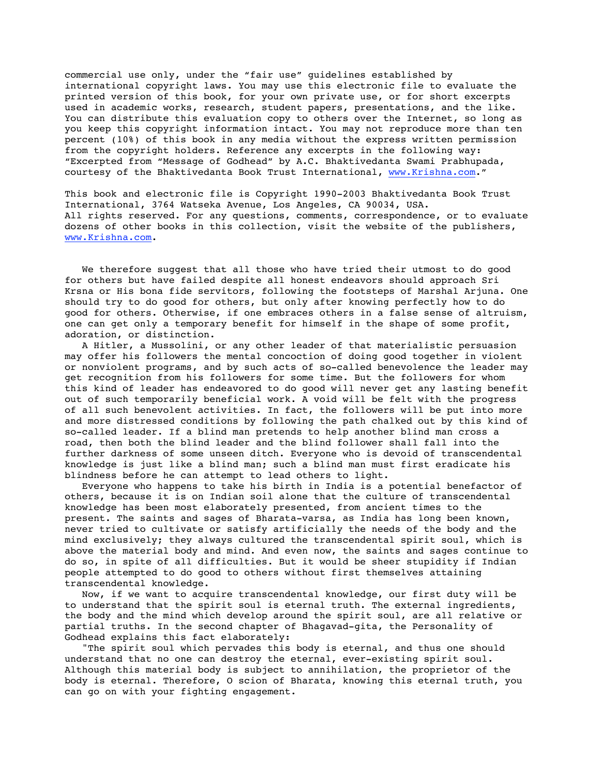commercial use only, under the "fair use" guidelines established by international copyright laws. You may use this electronic file to evaluate the printed version of this book, for your own private use, or for short excerpts used in academic works, research, student papers, presentations, and the like. You can distribute this evaluation copy to others over the Internet, so long as you keep this copyright information intact. You may not reproduce more than ten percent (10%) of this book in any media without the express written permission from the copyright holders. Reference any excerpts in the following way: "Excerpted from "Message of Godhead" by A.C. Bhaktivedanta Swami Prabhupada, courtesy of the Bhaktivedanta Book Trust International, www.Krishna.com."

This book and electronic file is Copyright 1990-2003 Bhaktivedanta Book Trust International, 3764 Watseka Avenue, Los Angeles, CA 90034, USA. All rights reserved. For any questions, comments, correspondence, or to evaluate dozens of other books in this collection, visit the website of the publishers, www.Krishna.com.

 We therefore suggest that all those who have tried their utmost to do good for others but have failed despite all honest endeavors should approach Sri Krsna or His bona fide servitors, following the footsteps of Marshal Arjuna. One should try to do good for others, but only after knowing perfectly how to do good for others. Otherwise, if one embraces others in a false sense of altruism, one can get only a temporary benefit for himself in the shape of some profit, adoration, or distinction.

 A Hitler, a Mussolini, or any other leader of that materialistic persuasion may offer his followers the mental concoction of doing good together in violent or nonviolent programs, and by such acts of so-called benevolence the leader may get recognition from his followers for some time. But the followers for whom this kind of leader has endeavored to do good will never get any lasting benefit out of such temporarily beneficial work. A void will be felt with the progress of all such benevolent activities. In fact, the followers will be put into more and more distressed conditions by following the path chalked out by this kind of so-called leader. If a blind man pretends to help another blind man cross a road, then both the blind leader and the blind follower shall fall into the further darkness of some unseen ditch. Everyone who is devoid of transcendental knowledge is just like a blind man; such a blind man must first eradicate his blindness before he can attempt to lead others to light.

 Everyone who happens to take his birth in India is a potential benefactor of others, because it is on Indian soil alone that the culture of transcendental knowledge has been most elaborately presented, from ancient times to the present. The saints and sages of Bharata-varsa, as India has long been known, never tried to cultivate or satisfy artificially the needs of the body and the mind exclusively; they always cultured the transcendental spirit soul, which is above the material body and mind. And even now, the saints and sages continue to do so, in spite of all difficulties. But it would be sheer stupidity if Indian people attempted to do good to others without first themselves attaining transcendental knowledge.

 Now, if we want to acquire transcendental knowledge, our first duty will be to understand that the spirit soul is eternal truth. The external ingredients, the body and the mind which develop around the spirit soul, are all relative or partial truths. In the second chapter of Bhagavad-gita, the Personality of Godhead explains this fact elaborately:

 "The spirit soul which pervades this body is eternal, and thus one should understand that no one can destroy the eternal, ever-existing spirit soul. Although this material body is subject to annihilation, the proprietor of the body is eternal. Therefore, O scion of Bharata, knowing this eternal truth, you can go on with your fighting engagement.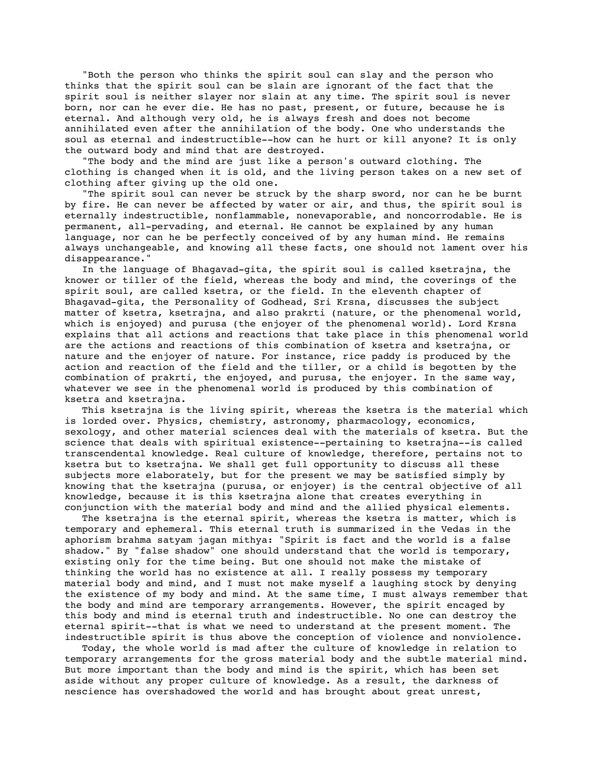"Both the person who thinks the spirit soul can slay and the person who thinks that the spirit soul can be slain are ignorant of the fact that the spirit soul is neither slayer nor slain at any time. The spirit soul is never born, nor can he ever die. He has no past, present, or future, because he is eternal. And although very old, he is always fresh and does not become annihilated even after the annihilation of the body. One who understands the soul as eternal and indestructible--how can he hurt or kill anyone? It is only the outward body and mind that are destroyed.

 "The body and the mind are just like a person's outward clothing. The clothing is changed when it is old, and the living person takes on a new set of clothing after giving up the old one.

 "The spirit soul can never be struck by the sharp sword, nor can he be burnt by fire. He can never be affected by water or air, and thus, the spirit soul is eternally indestructible, nonflammable, nonevaporable, and noncorrodable. He is permanent, all-pervading, and eternal. He cannot be explained by any human language, nor can he be perfectly conceived of by any human mind. He remains always unchangeable, and knowing all these facts, one should not lament over his disappearance."

 In the language of Bhagavad-gita, the spirit soul is called ksetrajna, the knower or tiller of the field, whereas the body and mind, the coverings of the spirit soul, are called ksetra, or the field. In the eleventh chapter of Bhagavad-gita, the Personality of Godhead, Sri Krsna, discusses the subject matter of ksetra, ksetrajna, and also prakrti (nature, or the phenomenal world, which is enjoyed) and purusa (the enjoyer of the phenomenal world). Lord Krsna explains that all actions and reactions that take place in this phenomenal world are the actions and reactions of this combination of ksetra and ksetrajna, or nature and the enjoyer of nature. For instance, rice paddy is produced by the action and reaction of the field and the tiller, or a child is begotten by the combination of prakrti, the enjoyed, and purusa, the enjoyer. In the same way, whatever we see in the phenomenal world is produced by this combination of ksetra and ksetrajna.

 This ksetrajna is the living spirit, whereas the ksetra is the material which is lorded over. Physics, chemistry, astronomy, pharmacology, economics, sexology, and other material sciences deal with the materials of ksetra. But the science that deals with spiritual existence--pertaining to ksetrajna--is called transcendental knowledge. Real culture of knowledge, therefore, pertains not to ksetra but to ksetrajna. We shall get full opportunity to discuss all these subjects more elaborately, but for the present we may be satisfied simply by knowing that the ksetrajna (purusa, or enjoyer) is the central objective of all knowledge, because it is this ksetrajna alone that creates everything in conjunction with the material body and mind and the allied physical elements.

 The ksetrajna is the eternal spirit, whereas the ksetra is matter, which is temporary and ephemeral. This eternal truth is summarized in the Vedas in the aphorism brahma satyam jagan mithya: "Spirit is fact and the world is a false shadow." By "false shadow" one should understand that the world is temporary, existing only for the time being. But one should not make the mistake of thinking the world has no existence at all. I really possess my temporary material body and mind, and I must not make myself a laughing stock by denying the existence of my body and mind. At the same time, I must always remember that the body and mind are temporary arrangements. However, the spirit encaged by this body and mind is eternal truth and indestructible. No one can destroy the eternal spirit--that is what we need to understand at the present moment. The indestructible spirit is thus above the conception of violence and nonviolence.

 Today, the whole world is mad after the culture of knowledge in relation to temporary arrangements for the gross material body and the subtle material mind. But more important than the body and mind is the spirit, which has been set aside without any proper culture of knowledge. As a result, the darkness of nescience has overshadowed the world and has brought about great unrest,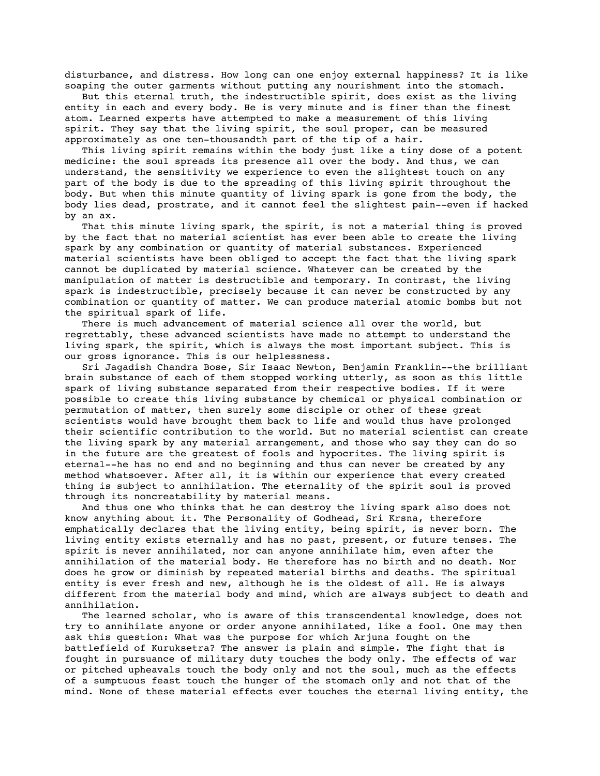disturbance, and distress. How long can one enjoy external happiness? It is like soaping the outer garments without putting any nourishment into the stomach.

 But this eternal truth, the indestructible spirit, does exist as the living entity in each and every body. He is very minute and is finer than the finest atom. Learned experts have attempted to make a measurement of this living spirit. They say that the living spirit, the soul proper, can be measured approximately as one ten-thousandth part of the tip of a hair.

 This living spirit remains within the body just like a tiny dose of a potent medicine: the soul spreads its presence all over the body. And thus, we can understand, the sensitivity we experience to even the slightest touch on any part of the body is due to the spreading of this living spirit throughout the body. But when this minute quantity of living spark is gone from the body, the body lies dead, prostrate, and it cannot feel the slightest pain--even if hacked by an ax.

 That this minute living spark, the spirit, is not a material thing is proved by the fact that no material scientist has ever been able to create the living spark by any combination or quantity of material substances. Experienced material scientists have been obliged to accept the fact that the living spark cannot be duplicated by material science. Whatever can be created by the manipulation of matter is destructible and temporary. In contrast, the living spark is indestructible, precisely because it can never be constructed by any combination or quantity of matter. We can produce material atomic bombs but not the spiritual spark of life.

 There is much advancement of material science all over the world, but regrettably, these advanced scientists have made no attempt to understand the living spark, the spirit, which is always the most important subject. This is our gross ignorance. This is our helplessness.

 Sri Jagadish Chandra Bose, Sir Isaac Newton, Benjamin Franklin--the brilliant brain substance of each of them stopped working utterly, as soon as this little spark of living substance separated from their respective bodies. If it were possible to create this living substance by chemical or physical combination or permutation of matter, then surely some disciple or other of these great scientists would have brought them back to life and would thus have prolonged their scientific contribution to the world. But no material scientist can create the living spark by any material arrangement, and those who say they can do so in the future are the greatest of fools and hypocrites. The living spirit is eternal--he has no end and no beginning and thus can never be created by any method whatsoever. After all, it is within our experience that every created thing is subject to annihilation. The eternality of the spirit soul is proved through its noncreatability by material means.

 And thus one who thinks that he can destroy the living spark also does not know anything about it. The Personality of Godhead, Sri Krsna, therefore emphatically declares that the living entity, being spirit, is never born. The living entity exists eternally and has no past, present, or future tenses. The spirit is never annihilated, nor can anyone annihilate him, even after the annihilation of the material body. He therefore has no birth and no death. Nor does he grow or diminish by repeated material births and deaths. The spiritual entity is ever fresh and new, although he is the oldest of all. He is always different from the material body and mind, which are always subject to death and annihilation.

 The learned scholar, who is aware of this transcendental knowledge, does not try to annihilate anyone or order anyone annihilated, like a fool. One may then ask this question: What was the purpose for which Arjuna fought on the battlefield of Kuruksetra? The answer is plain and simple. The fight that is fought in pursuance of military duty touches the body only. The effects of war or pitched upheavals touch the body only and not the soul, much as the effects of a sumptuous feast touch the hunger of the stomach only and not that of the mind. None of these material effects ever touches the eternal living entity, the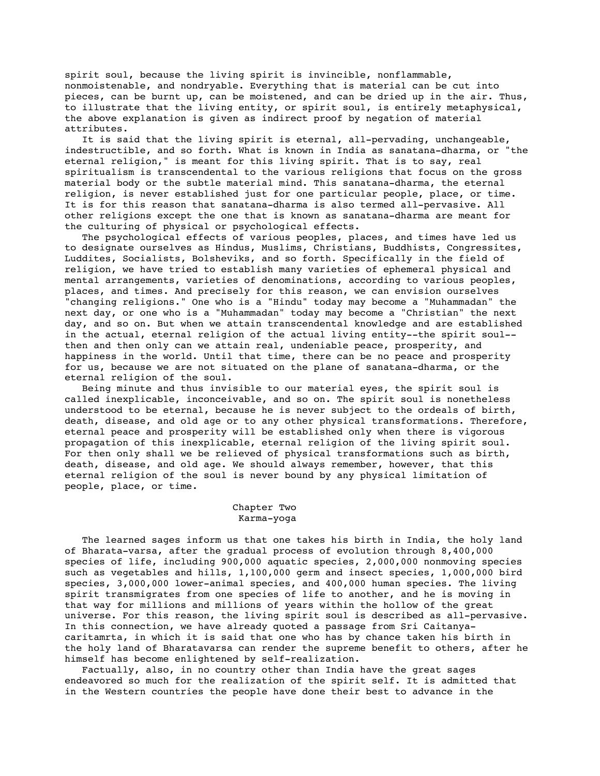spirit soul, because the living spirit is invincible, nonflammable, nonmoistenable, and nondryable. Everything that is material can be cut into pieces, can be burnt up, can be moistened, and can be dried up in the air. Thus, to illustrate that the living entity, or spirit soul, is entirely metaphysical, the above explanation is given as indirect proof by negation of material attributes.

 It is said that the living spirit is eternal, all-pervading, unchangeable, indestructible, and so forth. What is known in India as sanatana-dharma, or "the eternal religion," is meant for this living spirit. That is to say, real spiritualism is transcendental to the various religions that focus on the gross material body or the subtle material mind. This sanatana-dharma, the eternal religion, is never established just for one particular people, place, or time. It is for this reason that sanatana-dharma is also termed all-pervasive. All other religions except the one that is known as sanatana-dharma are meant for the culturing of physical or psychological effects.

 The psychological effects of various peoples, places, and times have led us to designate ourselves as Hindus, Muslims, Christians, Buddhists, Congressites, Luddites, Socialists, Bolsheviks, and so forth. Specifically in the field of religion, we have tried to establish many varieties of ephemeral physical and mental arrangements, varieties of denominations, according to various peoples, places, and times. And precisely for this reason, we can envision ourselves "changing religions." One who is a "Hindu" today may become a "Muhammadan" the next day, or one who is a "Muhammadan" today may become a "Christian" the next day, and so on. But when we attain transcendental knowledge and are established in the actual, eternal religion of the actual living entity--the spirit soul- then and then only can we attain real, undeniable peace, prosperity, and happiness in the world. Until that time, there can be no peace and prosperity for us, because we are not situated on the plane of sanatana-dharma, or the eternal religion of the soul.

 Being minute and thus invisible to our material eyes, the spirit soul is called inexplicable, inconceivable, and so on. The spirit soul is nonetheless understood to be eternal, because he is never subject to the ordeals of birth, death, disease, and old age or to any other physical transformations. Therefore, eternal peace and prosperity will be established only when there is vigorous propagation of this inexplicable, eternal religion of the living spirit soul. For then only shall we be relieved of physical transformations such as birth, death, disease, and old age. We should always remember, however, that this eternal religion of the soul is never bound by any physical limitation of people, place, or time.

## Chapter Two Karma-yoga

 The learned sages inform us that one takes his birth in India, the holy land of Bharata-varsa, after the gradual process of evolution through 8,400,000 species of life, including 900,000 aquatic species, 2,000,000 nonmoving species such as vegetables and hills, 1,100,000 germ and insect species, 1,000,000 bird species, 3,000,000 lower-animal species, and 400,000 human species. The living spirit transmigrates from one species of life to another, and he is moving in that way for millions and millions of years within the hollow of the great universe. For this reason, the living spirit soul is described as all-pervasive. In this connection, we have already quoted a passage from Sri Caitanyacaritamrta, in which it is said that one who has by chance taken his birth in the holy land of Bharatavarsa can render the supreme benefit to others, after he himself has become enlightened by self-realization.

 Factually, also, in no country other than India have the great sages endeavored so much for the realization of the spirit self. It is admitted that in the Western countries the people have done their best to advance in the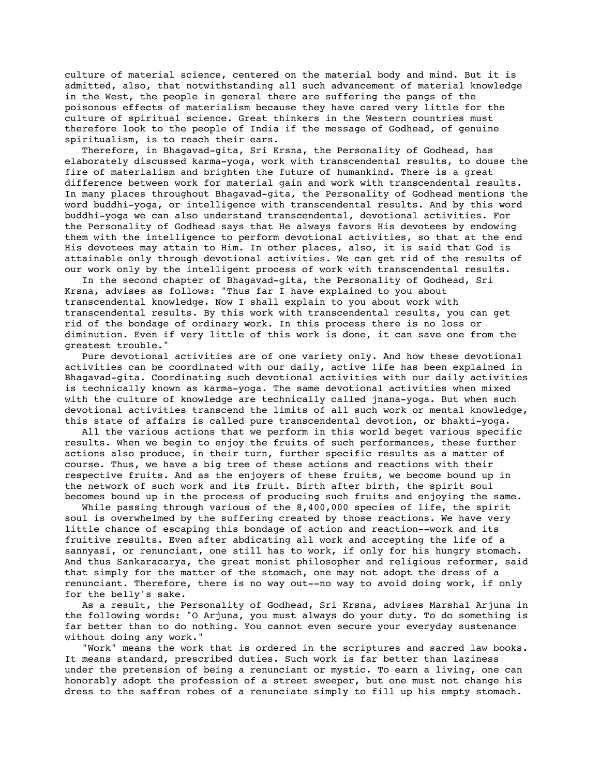culture of material science, centered on the material body and mind. But it is admitted, also, that notwithstanding all such advancement of material knowledge in the West, the people in general there are suffering the pangs of the poisonous effects of materialism because they have cared very little for the culture of spiritual science. Great thinkers in the Western countries must therefore look to the people of India if the message of Godhead, of genuine spiritualism, is to reach their ears.

 Therefore, in Bhagavad-gita, Sri Krsna, the Personality of Godhead, has elaborately discussed karma-yoga, work with transcendental results, to douse the fire of materialism and brighten the future of humankind. There is a great difference between work for material gain and work with transcendental results. In many places throughout Bhagavad-gita, the Personality of Godhead mentions the word buddhi-yoga, or intelligence with transcendental results. And by this word buddhi-yoga we can also understand transcendental, devotional activities. For the Personality of Godhead says that He always favors His devotees by endowing them with the intelligence to perform devotional activities, so that at the end His devotees may attain to Him. In other places, also, it is said that God is attainable only through devotional activities. We can get rid of the results of our work only by the intelligent process of work with transcendental results.

 In the second chapter of Bhagavad-gita, the Personality of Godhead, Sri Krsna, advises as follows: "Thus far I have explained to you about transcendental knowledge. Now I shall explain to you about work with transcendental results. By this work with transcendental results, you can get rid of the bondage of ordinary work. In this process there is no loss or diminution. Even if very little of this work is done, it can save one from the greatest trouble."

 Pure devotional activities are of one variety only. And how these devotional activities can be coordinated with our daily, active life has been explained in Bhagavad-gita. Coordinating such devotional activities with our daily activities is technically known as karma-yoga. The same devotional activities when mixed with the culture of knowledge are technically called jnana-yoga. But when such devotional activities transcend the limits of all such work or mental knowledge, this state of affairs is called pure transcendental devotion, or bhakti-yoga.

 All the various actions that we perform in this world beget various specific results. When we begin to enjoy the fruits of such performances, these further actions also produce, in their turn, further specific results as a matter of course. Thus, we have a big tree of these actions and reactions with their respective fruits. And as the enjoyers of these fruits, we become bound up in the network of such work and its fruit. Birth after birth, the spirit soul becomes bound up in the process of producing such fruits and enjoying the same.

While passing through various of the 8,400,000 species of life, the spirit soul is overwhelmed by the suffering created by those reactions. We have very little chance of escaping this bondage of action and reaction--work and its fruitive results. Even after abdicating all work and accepting the life of a sannyasi, or renunciant, one still has to work, if only for his hungry stomach. And thus Sankaracarya, the great monist philosopher and religious reformer, said that simply for the matter of the stomach, one may not adopt the dress of a renunciant. Therefore, there is no way out--no way to avoid doing work, if only for the belly's sake.

 As a result, the Personality of Godhead, Sri Krsna, advises Marshal Arjuna in the following words: "O Arjuna, you must always do your duty. To do something is far better than to do nothing. You cannot even secure your everyday sustenance without doing any work."

 "Work" means the work that is ordered in the scriptures and sacred law books. It means standard, prescribed duties. Such work is far better than laziness under the pretension of being a renunciant or mystic. To earn a living, one can honorably adopt the profession of a street sweeper, but one must not change his dress to the saffron robes of a renunciate simply to fill up his empty stomach.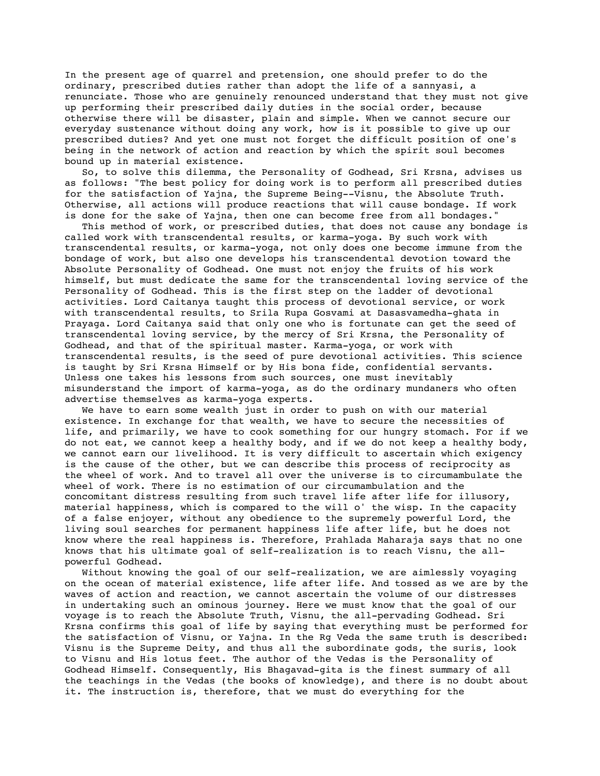In the present age of quarrel and pretension, one should prefer to do the ordinary, prescribed duties rather than adopt the life of a sannyasi, a renunciate. Those who are genuinely renounced understand that they must not give up performing their prescribed daily duties in the social order, because otherwise there will be disaster, plain and simple. When we cannot secure our everyday sustenance without doing any work, how is it possible to give up our prescribed duties? And yet one must not forget the difficult position of one's being in the network of action and reaction by which the spirit soul becomes bound up in material existence.

 So, to solve this dilemma, the Personality of Godhead, Sri Krsna, advises us as follows: "The best policy for doing work is to perform all prescribed duties for the satisfaction of Yajna, the Supreme Being--Visnu, the Absolute Truth. Otherwise, all actions will produce reactions that will cause bondage. If work is done for the sake of Yajna, then one can become free from all bondages."

 This method of work, or prescribed duties, that does not cause any bondage is called work with transcendental results, or karma-yoga. By such work with transcendental results, or karma-yoga, not only does one become immune from the bondage of work, but also one develops his transcendental devotion toward the Absolute Personality of Godhead. One must not enjoy the fruits of his work himself, but must dedicate the same for the transcendental loving service of the Personality of Godhead. This is the first step on the ladder of devotional activities. Lord Caitanya taught this process of devotional service, or work with transcendental results, to Srila Rupa Gosvami at Dasasvamedha-ghata in Prayaga. Lord Caitanya said that only one who is fortunate can get the seed of transcendental loving service, by the mercy of Sri Krsna, the Personality of Godhead, and that of the spiritual master. Karma-yoga, or work with transcendental results, is the seed of pure devotional activities. This science is taught by Sri Krsna Himself or by His bona fide, confidential servants. Unless one takes his lessons from such sources, one must inevitably misunderstand the import of karma-yoga, as do the ordinary mundaners who often advertise themselves as karma-yoga experts.

 We have to earn some wealth just in order to push on with our material existence. In exchange for that wealth, we have to secure the necessities of life, and primarily, we have to cook something for our hungry stomach. For if we do not eat, we cannot keep a healthy body, and if we do not keep a healthy body, we cannot earn our livelihood. It is very difficult to ascertain which exigency is the cause of the other, but we can describe this process of reciprocity as the wheel of work. And to travel all over the universe is to circumambulate the wheel of work. There is no estimation of our circumambulation and the concomitant distress resulting from such travel life after life for illusory, material happiness, which is compared to the will o' the wisp. In the capacity of a false enjoyer, without any obedience to the supremely powerful Lord, the living soul searches for permanent happiness life after life, but he does not know where the real happiness is. Therefore, Prahlada Maharaja says that no one knows that his ultimate goal of self-realization is to reach Visnu, the allpowerful Godhead.

 Without knowing the goal of our self-realization, we are aimlessly voyaging on the ocean of material existence, life after life. And tossed as we are by the waves of action and reaction, we cannot ascertain the volume of our distresses in undertaking such an ominous journey. Here we must know that the goal of our voyage is to reach the Absolute Truth, Visnu, the all-pervading Godhead. Sri Krsna confirms this goal of life by saying that everything must be performed for the satisfaction of Visnu, or Yajna. In the Rg Veda the same truth is described: Visnu is the Supreme Deity, and thus all the subordinate gods, the suris, look to Visnu and His lotus feet. The author of the Vedas is the Personality of Godhead Himself. Consequently, His Bhagavad-gita is the finest summary of all the teachings in the Vedas (the books of knowledge), and there is no doubt about it. The instruction is, therefore, that we must do everything for the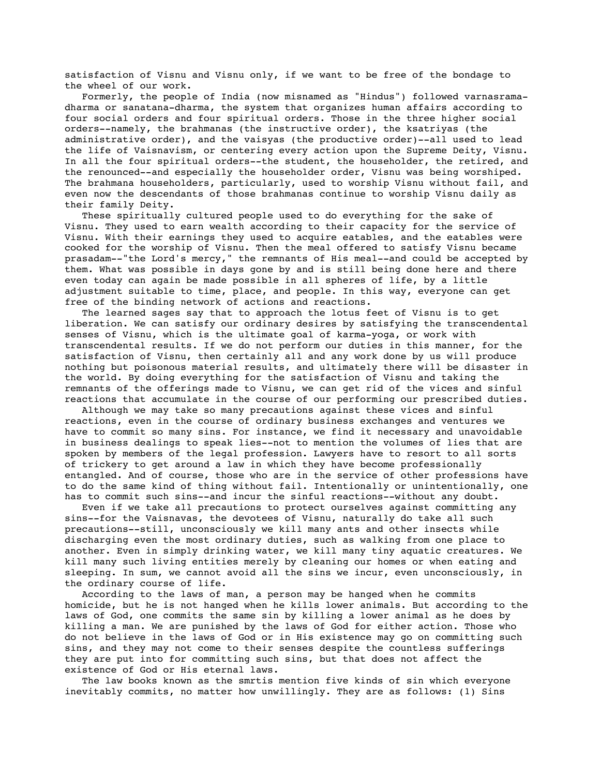satisfaction of Visnu and Visnu only, if we want to be free of the bondage to the wheel of our work.

 Formerly, the people of India (now misnamed as "Hindus") followed varnasramadharma or sanatana-dharma, the system that organizes human affairs according to four social orders and four spiritual orders. Those in the three higher social orders--namely, the brahmanas (the instructive order), the ksatriyas (the administrative order), and the vaisyas (the productive order)--all used to lead the life of Vaisnavism, or centering every action upon the Supreme Deity, Visnu. In all the four spiritual orders--the student, the householder, the retired, and the renounced--and especially the householder order, Visnu was being worshiped. The brahmana householders, particularly, used to worship Visnu without fail, and even now the descendants of those brahmanas continue to worship Visnu daily as their family Deity.

 These spiritually cultured people used to do everything for the sake of Visnu. They used to earn wealth according to their capacity for the service of Visnu. With their earnings they used to acquire eatables, and the eatables were cooked for the worship of Visnu. Then the meal offered to satisfy Visnu became prasadam--"the Lord's mercy," the remnants of His meal--and could be accepted by them. What was possible in days gone by and is still being done here and there even today can again be made possible in all spheres of life, by a little adjustment suitable to time, place, and people. In this way, everyone can get free of the binding network of actions and reactions.

 The learned sages say that to approach the lotus feet of Visnu is to get liberation. We can satisfy our ordinary desires by satisfying the transcendental senses of Visnu, which is the ultimate goal of karma-yoga, or work with transcendental results. If we do not perform our duties in this manner, for the satisfaction of Visnu, then certainly all and any work done by us will produce nothing but poisonous material results, and ultimately there will be disaster in the world. By doing everything for the satisfaction of Visnu and taking the remnants of the offerings made to Visnu, we can get rid of the vices and sinful reactions that accumulate in the course of our performing our prescribed duties.

 Although we may take so many precautions against these vices and sinful reactions, even in the course of ordinary business exchanges and ventures we have to commit so many sins. For instance, we find it necessary and unavoidable in business dealings to speak lies--not to mention the volumes of lies that are spoken by members of the legal profession. Lawyers have to resort to all sorts of trickery to get around a law in which they have become professionally entangled. And of course, those who are in the service of other professions have to do the same kind of thing without fail. Intentionally or unintentionally, one has to commit such sins--and incur the sinful reactions--without any doubt.

 Even if we take all precautions to protect ourselves against committing any sins--for the Vaisnavas, the devotees of Visnu, naturally do take all such precautions--still, unconsciously we kill many ants and other insects while discharging even the most ordinary duties, such as walking from one place to another. Even in simply drinking water, we kill many tiny aquatic creatures. We kill many such living entities merely by cleaning our homes or when eating and sleeping. In sum, we cannot avoid all the sins we incur, even unconsciously, in the ordinary course of life.

 According to the laws of man, a person may be hanged when he commits homicide, but he is not hanged when he kills lower animals. But according to the laws of God, one commits the same sin by killing a lower animal as he does by killing a man. We are punished by the laws of God for either action. Those who do not believe in the laws of God or in His existence may go on committing such sins, and they may not come to their senses despite the countless sufferings they are put into for committing such sins, but that does not affect the existence of God or His eternal laws.

 The law books known as the smrtis mention five kinds of sin which everyone inevitably commits, no matter how unwillingly. They are as follows: (1) Sins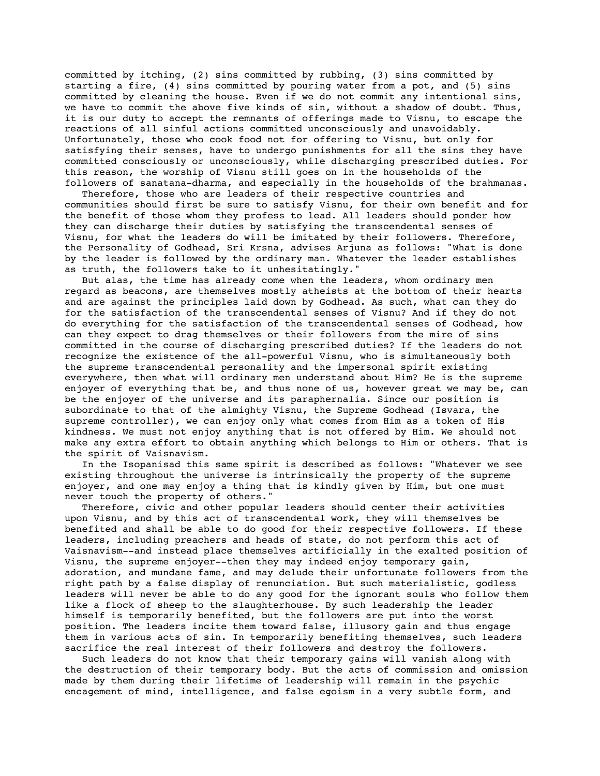committed by itching, (2) sins committed by rubbing, (3) sins committed by starting a fire, (4) sins committed by pouring water from a pot, and (5) sins committed by cleaning the house. Even if we do not commit any intentional sins, we have to commit the above five kinds of sin, without a shadow of doubt. Thus, it is our duty to accept the remnants of offerings made to Visnu, to escape the reactions of all sinful actions committed unconsciously and unavoidably. Unfortunately, those who cook food not for offering to Visnu, but only for satisfying their senses, have to undergo punishments for all the sins they have committed consciously or unconsciously, while discharging prescribed duties. For this reason, the worship of Visnu still goes on in the households of the followers of sanatana-dharma, and especially in the households of the brahmanas.

 Therefore, those who are leaders of their respective countries and communities should first be sure to satisfy Visnu, for their own benefit and for the benefit of those whom they profess to lead. All leaders should ponder how they can discharge their duties by satisfying the transcendental senses of Visnu, for what the leaders do will be imitated by their followers. Therefore, the Personality of Godhead, Sri Krsna, advises Arjuna as follows: "What is done by the leader is followed by the ordinary man. Whatever the leader establishes as truth, the followers take to it unhesitatingly."

 But alas, the time has already come when the leaders, whom ordinary men regard as beacons, are themselves mostly atheists at the bottom of their hearts and are against the principles laid down by Godhead. As such, what can they do for the satisfaction of the transcendental senses of Visnu? And if they do not do everything for the satisfaction of the transcendental senses of Godhead, how can they expect to drag themselves or their followers from the mire of sins committed in the course of discharging prescribed duties? If the leaders do not recognize the existence of the all-powerful Visnu, who is simultaneously both the supreme transcendental personality and the impersonal spirit existing everywhere, then what will ordinary men understand about Him? He is the supreme enjoyer of everything that be, and thus none of us, however great we may be, can be the enjoyer of the universe and its paraphernalia. Since our position is subordinate to that of the almighty Visnu, the Supreme Godhead (Isvara, the supreme controller), we can enjoy only what comes from Him as a token of His kindness. We must not enjoy anything that is not offered by Him. We should not make any extra effort to obtain anything which belongs to Him or others. That is the spirit of Vaisnavism.

 In the Isopanisad this same spirit is described as follows: "Whatever we see existing throughout the universe is intrinsically the property of the supreme enjoyer, and one may enjoy a thing that is kindly given by Him, but one must never touch the property of others."

 Therefore, civic and other popular leaders should center their activities upon Visnu, and by this act of transcendental work, they will themselves be benefited and shall be able to do good for their respective followers. If these leaders, including preachers and heads of state, do not perform this act of Vaisnavism--and instead place themselves artificially in the exalted position of Visnu, the supreme enjoyer--then they may indeed enjoy temporary gain, adoration, and mundane fame, and may delude their unfortunate followers from the right path by a false display of renunciation. But such materialistic, godless leaders will never be able to do any good for the ignorant souls who follow them like a flock of sheep to the slaughterhouse. By such leadership the leader himself is temporarily benefited, but the followers are put into the worst position. The leaders incite them toward false, illusory gain and thus engage them in various acts of sin. In temporarily benefiting themselves, such leaders sacrifice the real interest of their followers and destroy the followers.

 Such leaders do not know that their temporary gains will vanish along with the destruction of their temporary body. But the acts of commission and omission made by them during their lifetime of leadership will remain in the psychic encagement of mind, intelligence, and false egoism in a very subtle form, and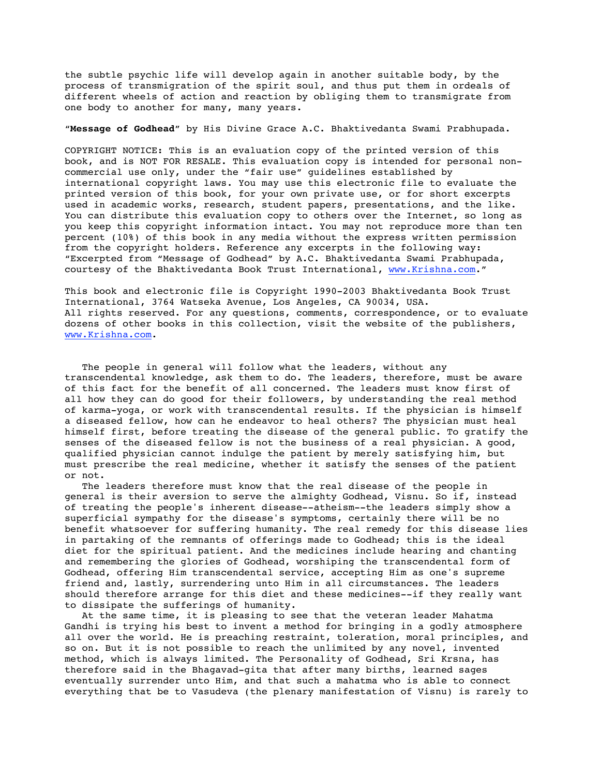the subtle psychic life will develop again in another suitable body, by the process of transmigration of the spirit soul, and thus put them in ordeals of different wheels of action and reaction by obliging them to transmigrate from one body to another for many, many years.

#### "**Message of Godhead**" by His Divine Grace A.C. Bhaktivedanta Swami Prabhupada.

COPYRIGHT NOTICE: This is an evaluation copy of the printed version of this book, and is NOT FOR RESALE. This evaluation copy is intended for personal noncommercial use only, under the "fair use" guidelines established by international copyright laws. You may use this electronic file to evaluate the printed version of this book, for your own private use, or for short excerpts used in academic works, research, student papers, presentations, and the like. You can distribute this evaluation copy to others over the Internet, so long as you keep this copyright information intact. You may not reproduce more than ten percent (10%) of this book in any media without the express written permission from the copyright holders. Reference any excerpts in the following way: "Excerpted from "Message of Godhead" by A.C. Bhaktivedanta Swami Prabhupada, courtesy of the Bhaktivedanta Book Trust International, www.Krishna.com."

This book and electronic file is Copyright 1990-2003 Bhaktivedanta Book Trust International, 3764 Watseka Avenue, Los Angeles, CA 90034, USA. All rights reserved. For any questions, comments, correspondence, or to evaluate dozens of other books in this collection, visit the website of the publishers, www.Krishna.com.

 The people in general will follow what the leaders, without any transcendental knowledge, ask them to do. The leaders, therefore, must be aware of this fact for the benefit of all concerned. The leaders must know first of all how they can do good for their followers, by understanding the real method of karma-yoga, or work with transcendental results. If the physician is himself a diseased fellow, how can he endeavor to heal others? The physician must heal himself first, before treating the disease of the general public. To gratify the senses of the diseased fellow is not the business of a real physician. A good, qualified physician cannot indulge the patient by merely satisfying him, but must prescribe the real medicine, whether it satisfy the senses of the patient or not.

 The leaders therefore must know that the real disease of the people in general is their aversion to serve the almighty Godhead, Visnu. So if, instead of treating the people's inherent disease--atheism--the leaders simply show a superficial sympathy for the disease's symptoms, certainly there will be no benefit whatsoever for suffering humanity. The real remedy for this disease lies in partaking of the remnants of offerings made to Godhead; this is the ideal diet for the spiritual patient. And the medicines include hearing and chanting and remembering the glories of Godhead, worshiping the transcendental form of Godhead, offering Him transcendental service, accepting Him as one's supreme friend and, lastly, surrendering unto Him in all circumstances. The leaders should therefore arrange for this diet and these medicines--if they really want to dissipate the sufferings of humanity.

 At the same time, it is pleasing to see that the veteran leader Mahatma Gandhi is trying his best to invent a method for bringing in a godly atmosphere all over the world. He is preaching restraint, toleration, moral principles, and so on. But it is not possible to reach the unlimited by any novel, invented method, which is always limited. The Personality of Godhead, Sri Krsna, has therefore said in the Bhagavad-gita that after many births, learned sages eventually surrender unto Him, and that such a mahatma who is able to connect everything that be to Vasudeva (the plenary manifestation of Visnu) is rarely to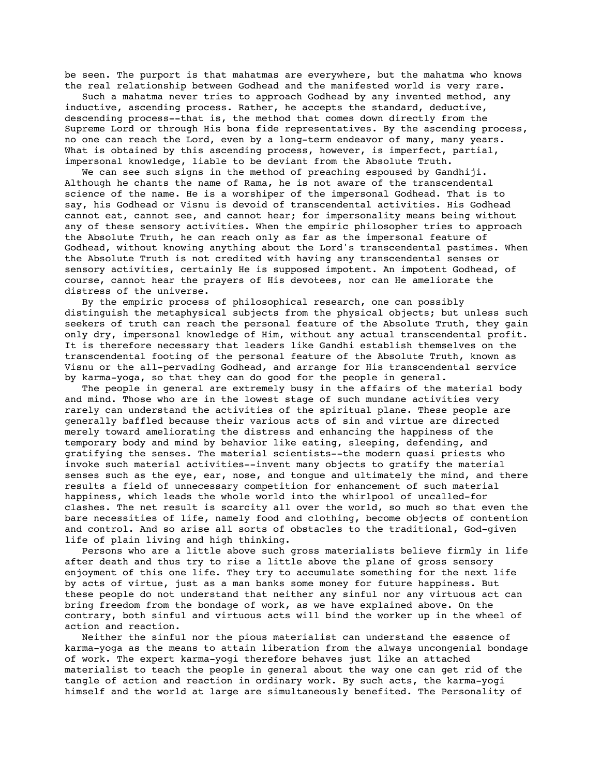be seen. The purport is that mahatmas are everywhere, but the mahatma who knows the real relationship between Godhead and the manifested world is very rare.

 Such a mahatma never tries to approach Godhead by any invented method, any inductive, ascending process. Rather, he accepts the standard, deductive, descending process--that is, the method that comes down directly from the Supreme Lord or through His bona fide representatives. By the ascending process, no one can reach the Lord, even by a long-term endeavor of many, many years. What is obtained by this ascending process, however, is imperfect, partial, impersonal knowledge, liable to be deviant from the Absolute Truth.

 We can see such signs in the method of preaching espoused by Gandhiji. Although he chants the name of Rama, he is not aware of the transcendental science of the name. He is a worshiper of the impersonal Godhead. That is to say, his Godhead or Visnu is devoid of transcendental activities. His Godhead cannot eat, cannot see, and cannot hear; for impersonality means being without any of these sensory activities. When the empiric philosopher tries to approach the Absolute Truth, he can reach only as far as the impersonal feature of Godhead, without knowing anything about the Lord's transcendental pastimes. When the Absolute Truth is not credited with having any transcendental senses or sensory activities, certainly He is supposed impotent. An impotent Godhead, of course, cannot hear the prayers of His devotees, nor can He ameliorate the distress of the universe.

 By the empiric process of philosophical research, one can possibly distinguish the metaphysical subjects from the physical objects; but unless such seekers of truth can reach the personal feature of the Absolute Truth, they gain only dry, impersonal knowledge of Him, without any actual transcendental profit. It is therefore necessary that leaders like Gandhi establish themselves on the transcendental footing of the personal feature of the Absolute Truth, known as Visnu or the all-pervading Godhead, and arrange for His transcendental service by karma-yoga, so that they can do good for the people in general.

 The people in general are extremely busy in the affairs of the material body and mind. Those who are in the lowest stage of such mundane activities very rarely can understand the activities of the spiritual plane. These people are generally baffled because their various acts of sin and virtue are directed merely toward ameliorating the distress and enhancing the happiness of the temporary body and mind by behavior like eating, sleeping, defending, and gratifying the senses. The material scientists--the modern quasi priests who invoke such material activities--invent many objects to gratify the material senses such as the eye, ear, nose, and tongue and ultimately the mind, and there results a field of unnecessary competition for enhancement of such material happiness, which leads the whole world into the whirlpool of uncalled-for clashes. The net result is scarcity all over the world, so much so that even the bare necessities of life, namely food and clothing, become objects of contention and control. And so arise all sorts of obstacles to the traditional, God-given life of plain living and high thinking.

 Persons who are a little above such gross materialists believe firmly in life after death and thus try to rise a little above the plane of gross sensory enjoyment of this one life. They try to accumulate something for the next life by acts of virtue, just as a man banks some money for future happiness. But these people do not understand that neither any sinful nor any virtuous act can bring freedom from the bondage of work, as we have explained above. On the contrary, both sinful and virtuous acts will bind the worker up in the wheel of action and reaction.

 Neither the sinful nor the pious materialist can understand the essence of karma-yoga as the means to attain liberation from the always uncongenial bondage of work. The expert karma-yogi therefore behaves just like an attached materialist to teach the people in general about the way one can get rid of the tangle of action and reaction in ordinary work. By such acts, the karma-yogi himself and the world at large are simultaneously benefited. The Personality of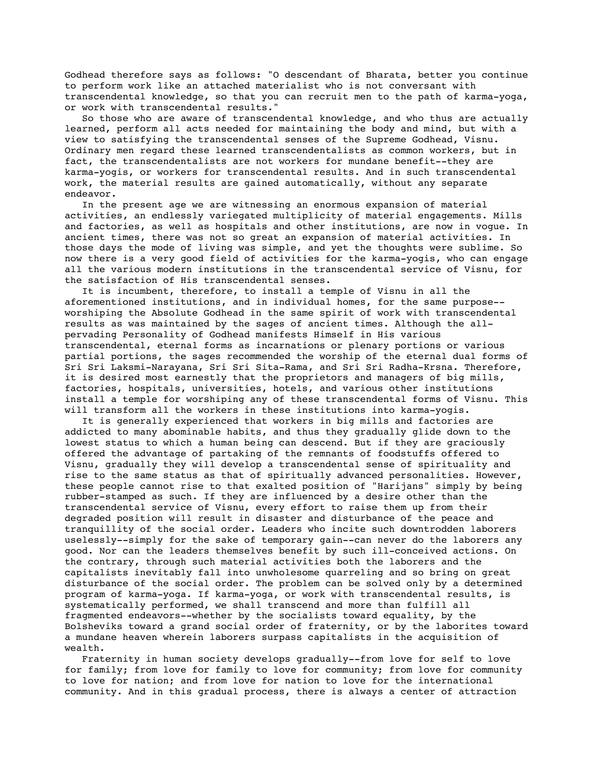Godhead therefore says as follows: "O descendant of Bharata, better you continue to perform work like an attached materialist who is not conversant with transcendental knowledge, so that you can recruit men to the path of karma-yoga, or work with transcendental results."

 So those who are aware of transcendental knowledge, and who thus are actually learned, perform all acts needed for maintaining the body and mind, but with a view to satisfying the transcendental senses of the Supreme Godhead, Visnu. Ordinary men regard these learned transcendentalists as common workers, but in fact, the transcendentalists are not workers for mundane benefit--they are karma-yogis, or workers for transcendental results. And in such transcendental work, the material results are gained automatically, without any separate endeavor.

 In the present age we are witnessing an enormous expansion of material activities, an endlessly variegated multiplicity of material engagements. Mills and factories, as well as hospitals and other institutions, are now in vogue. In ancient times, there was not so great an expansion of material activities. In those days the mode of living was simple, and yet the thoughts were sublime. So now there is a very good field of activities for the karma-yogis, who can engage all the various modern institutions in the transcendental service of Visnu, for the satisfaction of His transcendental senses.

 It is incumbent, therefore, to install a temple of Visnu in all the aforementioned institutions, and in individual homes, for the same purpose- worshiping the Absolute Godhead in the same spirit of work with transcendental results as was maintained by the sages of ancient times. Although the allpervading Personality of Godhead manifests Himself in His various transcendental, eternal forms as incarnations or plenary portions or various partial portions, the sages recommended the worship of the eternal dual forms of Sri Sri Laksmi-Narayana, Sri Sri Sita-Rama, and Sri Sri Radha-Krsna. Therefore, it is desired most earnestly that the proprietors and managers of big mills, factories, hospitals, universities, hotels, and various other institutions install a temple for worshiping any of these transcendental forms of Visnu. This will transform all the workers in these institutions into karma-yogis.

 It is generally experienced that workers in big mills and factories are addicted to many abominable habits, and thus they gradually glide down to the lowest status to which a human being can descend. But if they are graciously offered the advantage of partaking of the remnants of foodstuffs offered to Visnu, gradually they will develop a transcendental sense of spirituality and rise to the same status as that of spiritually advanced personalities. However, these people cannot rise to that exalted position of "Harijans" simply by being rubber-stamped as such. If they are influenced by a desire other than the transcendental service of Visnu, every effort to raise them up from their degraded position will result in disaster and disturbance of the peace and tranquillity of the social order. Leaders who incite such downtrodden laborers uselessly--simply for the sake of temporary gain--can never do the laborers any good. Nor can the leaders themselves benefit by such ill-conceived actions. On the contrary, through such material activities both the laborers and the capitalists inevitably fall into unwholesome quarreling and so bring on great disturbance of the social order. The problem can be solved only by a determined program of karma-yoga. If karma-yoga, or work with transcendental results, is systematically performed, we shall transcend and more than fulfill all fragmented endeavors--whether by the socialists toward equality, by the Bolsheviks toward a grand social order of fraternity, or by the laborites toward a mundane heaven wherein laborers surpass capitalists in the acquisition of wealth.

 Fraternity in human society develops gradually--from love for self to love for family; from love for family to love for community; from love for community to love for nation; and from love for nation to love for the international community. And in this gradual process, there is always a center of attraction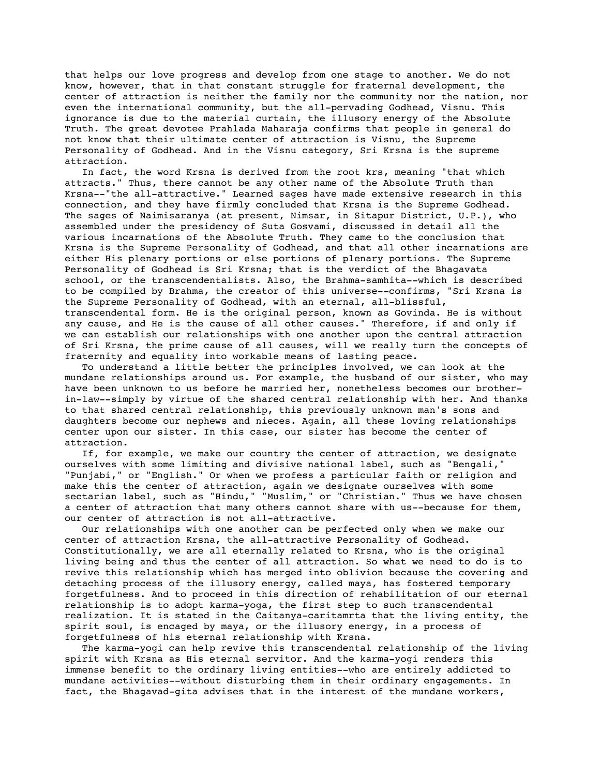that helps our love progress and develop from one stage to another. We do not know, however, that in that constant struggle for fraternal development, the center of attraction is neither the family nor the community nor the nation, nor even the international community, but the all-pervading Godhead, Visnu. This ignorance is due to the material curtain, the illusory energy of the Absolute Truth. The great devotee Prahlada Maharaja confirms that people in general do not know that their ultimate center of attraction is Visnu, the Supreme Personality of Godhead. And in the Visnu category, Sri Krsna is the supreme attraction.

 In fact, the word Krsna is derived from the root krs, meaning "that which attracts." Thus, there cannot be any other name of the Absolute Truth than Krsna--"the all-attractive." Learned sages have made extensive research in this connection, and they have firmly concluded that Krsna is the Supreme Godhead. The sages of Naimisaranya (at present, Nimsar, in Sitapur District, U.P.), who assembled under the presidency of Suta Gosvami, discussed in detail all the various incarnations of the Absolute Truth. They came to the conclusion that Krsna is the Supreme Personality of Godhead, and that all other incarnations are either His plenary portions or else portions of plenary portions. The Supreme Personality of Godhead is Sri Krsna; that is the verdict of the Bhagavata school, or the transcendentalists. Also, the Brahma-samhita--which is described to be compiled by Brahma, the creator of this universe--confirms, "Sri Krsna is the Supreme Personality of Godhead, with an eternal, all-blissful, transcendental form. He is the original person, known as Govinda. He is without any cause, and He is the cause of all other causes." Therefore, if and only if we can establish our relationships with one another upon the central attraction of Sri Krsna, the prime cause of all causes, will we really turn the concepts of fraternity and equality into workable means of lasting peace.

 To understand a little better the principles involved, we can look at the mundane relationships around us. For example, the husband of our sister, who may have been unknown to us before he married her, nonetheless becomes our brotherin-law--simply by virtue of the shared central relationship with her. And thanks to that shared central relationship, this previously unknown man's sons and daughters become our nephews and nieces. Again, all these loving relationships center upon our sister. In this case, our sister has become the center of attraction.

 If, for example, we make our country the center of attraction, we designate ourselves with some limiting and divisive national label, such as "Bengali," "Punjabi," or "English." Or when we profess a particular faith or religion and make this the center of attraction, again we designate ourselves with some sectarian label, such as "Hindu," "Muslim," or "Christian." Thus we have chosen a center of attraction that many others cannot share with us--because for them, our center of attraction is not all-attractive.

 Our relationships with one another can be perfected only when we make our center of attraction Krsna, the all-attractive Personality of Godhead. Constitutionally, we are all eternally related to Krsna, who is the original living being and thus the center of all attraction. So what we need to do is to revive this relationship which has merged into oblivion because the covering and detaching process of the illusory energy, called maya, has fostered temporary forgetfulness. And to proceed in this direction of rehabilitation of our eternal relationship is to adopt karma-yoga, the first step to such transcendental realization. It is stated in the Caitanya-caritamrta that the living entity, the spirit soul, is encaged by maya, or the illusory energy, in a process of forgetfulness of his eternal relationship with Krsna.

 The karma-yogi can help revive this transcendental relationship of the living spirit with Krsna as His eternal servitor. And the karma-yogi renders this immense benefit to the ordinary living entities--who are entirely addicted to mundane activities--without disturbing them in their ordinary engagements. In fact, the Bhagavad-gita advises that in the interest of the mundane workers,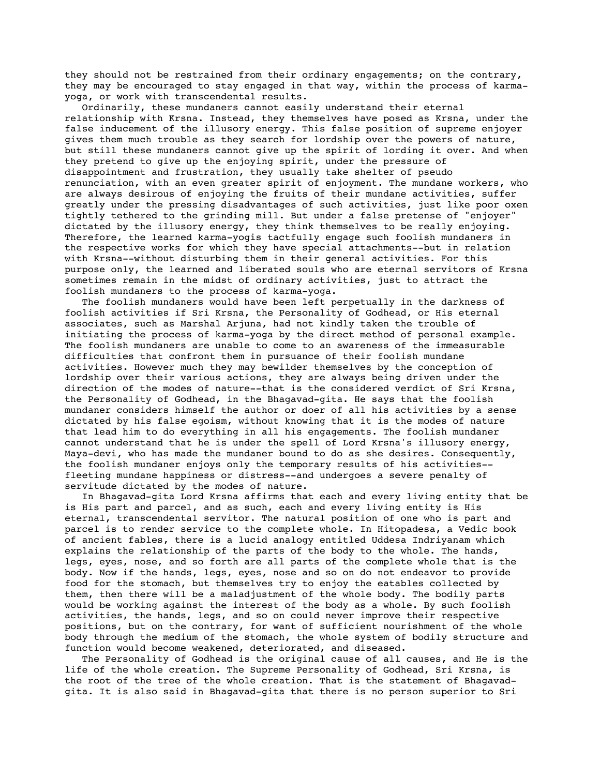they should not be restrained from their ordinary engagements; on the contrary, they may be encouraged to stay engaged in that way, within the process of karmayoga, or work with transcendental results.

 Ordinarily, these mundaners cannot easily understand their eternal relationship with Krsna. Instead, they themselves have posed as Krsna, under the false inducement of the illusory energy. This false position of supreme enjoyer gives them much trouble as they search for lordship over the powers of nature, but still these mundaners cannot give up the spirit of lording it over. And when they pretend to give up the enjoying spirit, under the pressure of disappointment and frustration, they usually take shelter of pseudo renunciation, with an even greater spirit of enjoyment. The mundane workers, who are always desirous of enjoying the fruits of their mundane activities, suffer greatly under the pressing disadvantages of such activities, just like poor oxen tightly tethered to the grinding mill. But under a false pretense of "enjoyer" dictated by the illusory energy, they think themselves to be really enjoying. Therefore, the learned karma-yogis tactfully engage such foolish mundaners in the respective works for which they have special attachments--but in relation with Krsna--without disturbing them in their general activities. For this purpose only, the learned and liberated souls who are eternal servitors of Krsna sometimes remain in the midst of ordinary activities, just to attract the foolish mundaners to the process of karma-yoga.

 The foolish mundaners would have been left perpetually in the darkness of foolish activities if Sri Krsna, the Personality of Godhead, or His eternal associates, such as Marshal Arjuna, had not kindly taken the trouble of initiating the process of karma-yoga by the direct method of personal example. The foolish mundaners are unable to come to an awareness of the immeasurable difficulties that confront them in pursuance of their foolish mundane activities. However much they may bewilder themselves by the conception of lordship over their various actions, they are always being driven under the direction of the modes of nature--that is the considered verdict of Sri Krsna, the Personality of Godhead, in the Bhagavad-gita. He says that the foolish mundaner considers himself the author or doer of all his activities by a sense dictated by his false egoism, without knowing that it is the modes of nature that lead him to do everything in all his engagements. The foolish mundaner cannot understand that he is under the spell of Lord Krsna's illusory energy, Maya-devi, who has made the mundaner bound to do as she desires. Consequently, the foolish mundaner enjoys only the temporary results of his activities- fleeting mundane happiness or distress--and undergoes a severe penalty of servitude dictated by the modes of nature.

 In Bhagavad-gita Lord Krsna affirms that each and every living entity that be is His part and parcel, and as such, each and every living entity is His eternal, transcendental servitor. The natural position of one who is part and parcel is to render service to the complete whole. In Hitopadesa, a Vedic book of ancient fables, there is a lucid analogy entitled Uddesa Indriyanam which explains the relationship of the parts of the body to the whole. The hands, legs, eyes, nose, and so forth are all parts of the complete whole that is the body. Now if the hands, legs, eyes, nose and so on do not endeavor to provide food for the stomach, but themselves try to enjoy the eatables collected by them, then there will be a maladjustment of the whole body. The bodily parts would be working against the interest of the body as a whole. By such foolish activities, the hands, legs, and so on could never improve their respective positions, but on the contrary, for want of sufficient nourishment of the whole body through the medium of the stomach, the whole system of bodily structure and function would become weakened, deteriorated, and diseased.

 The Personality of Godhead is the original cause of all causes, and He is the life of the whole creation. The Supreme Personality of Godhead, Sri Krsna, is the root of the tree of the whole creation. That is the statement of Bhagavadgita. It is also said in Bhagavad-gita that there is no person superior to Sri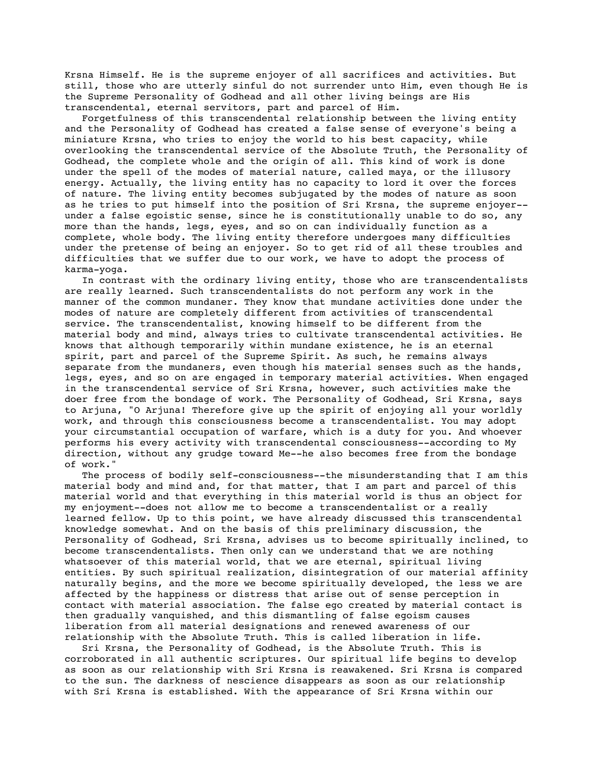Krsna Himself. He is the supreme enjoyer of all sacrifices and activities. But still, those who are utterly sinful do not surrender unto Him, even though He is the Supreme Personality of Godhead and all other living beings are His transcendental, eternal servitors, part and parcel of Him.

 Forgetfulness of this transcendental relationship between the living entity and the Personality of Godhead has created a false sense of everyone's being a miniature Krsna, who tries to enjoy the world to his best capacity, while overlooking the transcendental service of the Absolute Truth, the Personality of Godhead, the complete whole and the origin of all. This kind of work is done under the spell of the modes of material nature, called maya, or the illusory energy. Actually, the living entity has no capacity to lord it over the forces of nature. The living entity becomes subjugated by the modes of nature as soon as he tries to put himself into the position of Sri Krsna, the supreme enjoyer- under a false egoistic sense, since he is constitutionally unable to do so, any more than the hands, legs, eyes, and so on can individually function as a complete, whole body. The living entity therefore undergoes many difficulties under the pretense of being an enjoyer. So to get rid of all these troubles and difficulties that we suffer due to our work, we have to adopt the process of karma-yoga.

 In contrast with the ordinary living entity, those who are transcendentalists are really learned. Such transcendentalists do not perform any work in the manner of the common mundaner. They know that mundane activities done under the modes of nature are completely different from activities of transcendental service. The transcendentalist, knowing himself to be different from the material body and mind, always tries to cultivate transcendental activities. He knows that although temporarily within mundane existence, he is an eternal spirit, part and parcel of the Supreme Spirit. As such, he remains always separate from the mundaners, even though his material senses such as the hands, legs, eyes, and so on are engaged in temporary material activities. When engaged in the transcendental service of Sri Krsna, however, such activities make the doer free from the bondage of work. The Personality of Godhead, Sri Krsna, says to Arjuna, "O Arjuna! Therefore give up the spirit of enjoying all your worldly work, and through this consciousness become a transcendentalist. You may adopt your circumstantial occupation of warfare, which is a duty for you. And whoever performs his every activity with transcendental consciousness--according to My direction, without any grudge toward Me--he also becomes free from the bondage of work."

 The process of bodily self-consciousness--the misunderstanding that I am this material body and mind and, for that matter, that I am part and parcel of this material world and that everything in this material world is thus an object for my enjoyment--does not allow me to become a transcendentalist or a really learned fellow. Up to this point, we have already discussed this transcendental knowledge somewhat. And on the basis of this preliminary discussion, the Personality of Godhead, Sri Krsna, advises us to become spiritually inclined, to become transcendentalists. Then only can we understand that we are nothing whatsoever of this material world, that we are eternal, spiritual living entities. By such spiritual realization, disintegration of our material affinity naturally begins, and the more we become spiritually developed, the less we are affected by the happiness or distress that arise out of sense perception in contact with material association. The false ego created by material contact is then gradually vanquished, and this dismantling of false egoism causes liberation from all material designations and renewed awareness of our relationship with the Absolute Truth. This is called liberation in life.

 Sri Krsna, the Personality of Godhead, is the Absolute Truth. This is corroborated in all authentic scriptures. Our spiritual life begins to develop as soon as our relationship with Sri Krsna is reawakened. Sri Krsna is compared to the sun. The darkness of nescience disappears as soon as our relationship with Sri Krsna is established. With the appearance of Sri Krsna within our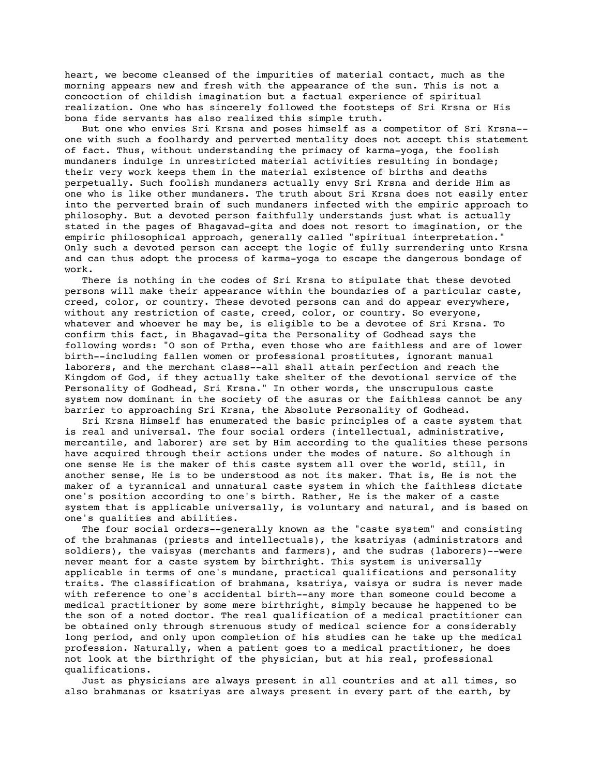heart, we become cleansed of the impurities of material contact, much as the morning appears new and fresh with the appearance of the sun. This is not a concoction of childish imagination but a factual experience of spiritual realization. One who has sincerely followed the footsteps of Sri Krsna or His bona fide servants has also realized this simple truth.

 But one who envies Sri Krsna and poses himself as a competitor of Sri Krsna- one with such a foolhardy and perverted mentality does not accept this statement of fact. Thus, without understanding the primacy of karma-yoga, the foolish mundaners indulge in unrestricted material activities resulting in bondage; their very work keeps them in the material existence of births and deaths perpetually. Such foolish mundaners actually envy Sri Krsna and deride Him as one who is like other mundaners. The truth about Sri Krsna does not easily enter into the perverted brain of such mundaners infected with the empiric approach to philosophy. But a devoted person faithfully understands just what is actually stated in the pages of Bhagavad-gita and does not resort to imagination, or the empiric philosophical approach, generally called "spiritual interpretation." Only such a devoted person can accept the logic of fully surrendering unto Krsna and can thus adopt the process of karma-yoga to escape the dangerous bondage of work.

 There is nothing in the codes of Sri Krsna to stipulate that these devoted persons will make their appearance within the boundaries of a particular caste, creed, color, or country. These devoted persons can and do appear everywhere, without any restriction of caste, creed, color, or country. So everyone, whatever and whoever he may be, is eligible to be a devotee of Sri Krsna. To confirm this fact, in Bhagavad-gita the Personality of Godhead says the following words: "O son of Prtha, even those who are faithless and are of lower birth--including fallen women or professional prostitutes, ignorant manual laborers, and the merchant class--all shall attain perfection and reach the Kingdom of God, if they actually take shelter of the devotional service of the Personality of Godhead, Sri Krsna." In other words, the unscrupulous caste system now dominant in the society of the asuras or the faithless cannot be any barrier to approaching Sri Krsna, the Absolute Personality of Godhead.

 Sri Krsna Himself has enumerated the basic principles of a caste system that is real and universal. The four social orders (intellectual, administrative, mercantile, and laborer) are set by Him according to the qualities these persons have acquired through their actions under the modes of nature. So although in one sense He is the maker of this caste system all over the world, still, in another sense, He is to be understood as not its maker. That is, He is not the maker of a tyrannical and unnatural caste system in which the faithless dictate one's position according to one's birth. Rather, He is the maker of a caste system that is applicable universally, is voluntary and natural, and is based on one's qualities and abilities.

 The four social orders--generally known as the "caste system" and consisting of the brahmanas (priests and intellectuals), the ksatriyas (administrators and soldiers), the vaisyas (merchants and farmers), and the sudras (laborers)--were never meant for a caste system by birthright. This system is universally applicable in terms of one's mundane, practical qualifications and personality traits. The classification of brahmana, ksatriya, vaisya or sudra is never made with reference to one's accidental birth--any more than someone could become a medical practitioner by some mere birthright, simply because he happened to be the son of a noted doctor. The real qualification of a medical practitioner can be obtained only through strenuous study of medical science for a considerably long period, and only upon completion of his studies can he take up the medical profession. Naturally, when a patient goes to a medical practitioner, he does not look at the birthright of the physician, but at his real, professional qualifications.

 Just as physicians are always present in all countries and at all times, so also brahmanas or ksatriyas are always present in every part of the earth, by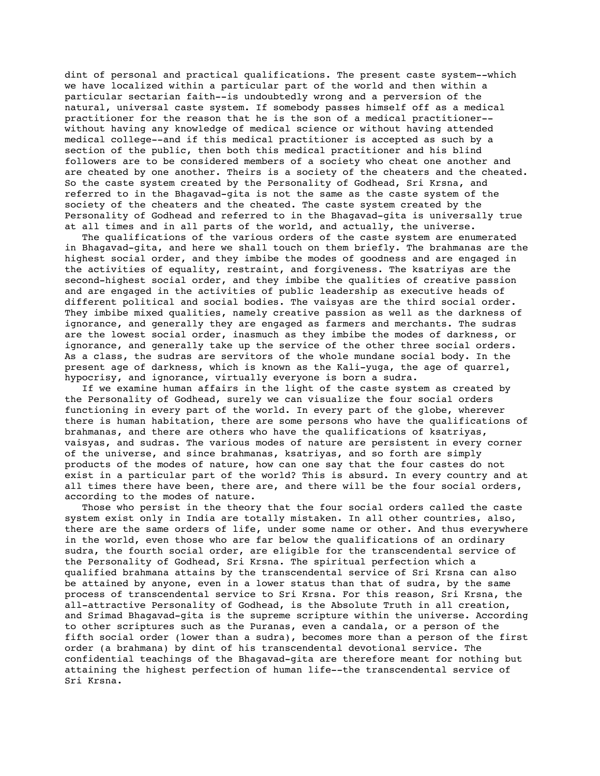dint of personal and practical qualifications. The present caste system--which we have localized within a particular part of the world and then within a particular sectarian faith--is undoubtedly wrong and a perversion of the natural, universal caste system. If somebody passes himself off as a medical practitioner for the reason that he is the son of a medical practitioner- without having any knowledge of medical science or without having attended medical college--and if this medical practitioner is accepted as such by a section of the public, then both this medical practitioner and his blind followers are to be considered members of a society who cheat one another and are cheated by one another. Theirs is a society of the cheaters and the cheated. So the caste system created by the Personality of Godhead, Sri Krsna, and referred to in the Bhagavad-gita is not the same as the caste system of the society of the cheaters and the cheated. The caste system created by the Personality of Godhead and referred to in the Bhagavad-gita is universally true at all times and in all parts of the world, and actually, the universe.

 The qualifications of the various orders of the caste system are enumerated in Bhagavad-gita, and here we shall touch on them briefly. The brahmanas are the highest social order, and they imbibe the modes of goodness and are engaged in the activities of equality, restraint, and forgiveness. The ksatriyas are the second-highest social order, and they imbibe the qualities of creative passion and are engaged in the activities of public leadership as executive heads of different political and social bodies. The vaisyas are the third social order. They imbibe mixed qualities, namely creative passion as well as the darkness of ignorance, and generally they are engaged as farmers and merchants. The sudras are the lowest social order, inasmuch as they imbibe the modes of darkness, or ignorance, and generally take up the service of the other three social orders. As a class, the sudras are servitors of the whole mundane social body. In the present age of darkness, which is known as the Kali-yuga, the age of quarrel, hypocrisy, and ignorance, virtually everyone is born a sudra.

 If we examine human affairs in the light of the caste system as created by the Personality of Godhead, surely we can visualize the four social orders functioning in every part of the world. In every part of the globe, wherever there is human habitation, there are some persons who have the qualifications of brahmanas, and there are others who have the qualifications of ksatriyas, vaisyas, and sudras. The various modes of nature are persistent in every corner of the universe, and since brahmanas, ksatriyas, and so forth are simply products of the modes of nature, how can one say that the four castes do not exist in a particular part of the world? This is absurd. In every country and at all times there have been, there are, and there will be the four social orders, according to the modes of nature.

 Those who persist in the theory that the four social orders called the caste system exist only in India are totally mistaken. In all other countries, also, there are the same orders of life, under some name or other. And thus everywhere in the world, even those who are far below the qualifications of an ordinary sudra, the fourth social order, are eligible for the transcendental service of the Personality of Godhead, Sri Krsna. The spiritual perfection which a qualified brahmana attains by the transcendental service of Sri Krsna can also be attained by anyone, even in a lower status than that of sudra, by the same process of transcendental service to Sri Krsna. For this reason, Sri Krsna, the all-attractive Personality of Godhead, is the Absolute Truth in all creation, and Srimad Bhagavad-gita is the supreme scripture within the universe. According to other scriptures such as the Puranas, even a candala, or a person of the fifth social order (lower than a sudra), becomes more than a person of the first order (a brahmana) by dint of his transcendental devotional service. The confidential teachings of the Bhagavad-gita are therefore meant for nothing but attaining the highest perfection of human life--the transcendental service of Sri Krsna.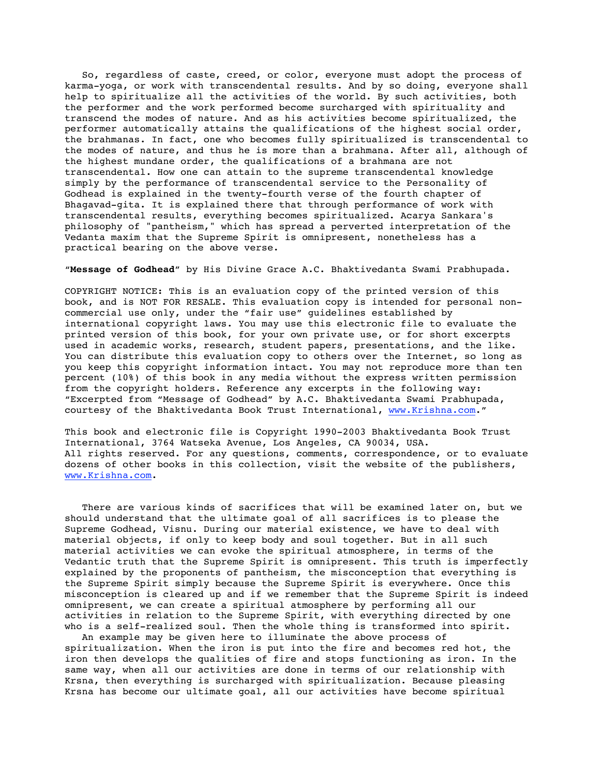So, regardless of caste, creed, or color, everyone must adopt the process of karma-yoga, or work with transcendental results. And by so doing, everyone shall help to spiritualize all the activities of the world. By such activities, both the performer and the work performed become surcharged with spirituality and transcend the modes of nature. And as his activities become spiritualized, the performer automatically attains the qualifications of the highest social order, the brahmanas. In fact, one who becomes fully spiritualized is transcendental to the modes of nature, and thus he is more than a brahmana. After all, although of the highest mundane order, the qualifications of a brahmana are not transcendental. How one can attain to the supreme transcendental knowledge simply by the performance of transcendental service to the Personality of Godhead is explained in the twenty-fourth verse of the fourth chapter of Bhagavad-gita. It is explained there that through performance of work with transcendental results, everything becomes spiritualized. Acarya Sankara's philosophy of "pantheism," which has spread a perverted interpretation of the Vedanta maxim that the Supreme Spirit is omnipresent, nonetheless has a practical bearing on the above verse.

# "**Message of Godhead**" by His Divine Grace A.C. Bhaktivedanta Swami Prabhupada.

COPYRIGHT NOTICE: This is an evaluation copy of the printed version of this book, and is NOT FOR RESALE. This evaluation copy is intended for personal noncommercial use only, under the "fair use" guidelines established by international copyright laws. You may use this electronic file to evaluate the printed version of this book, for your own private use, or for short excerpts used in academic works, research, student papers, presentations, and the like. You can distribute this evaluation copy to others over the Internet, so long as you keep this copyright information intact. You may not reproduce more than ten percent (10%) of this book in any media without the express written permission from the copyright holders. Reference any excerpts in the following way: "Excerpted from "Message of Godhead" by A.C. Bhaktivedanta Swami Prabhupada, courtesy of the Bhaktivedanta Book Trust International, www.Krishna.com."

This book and electronic file is Copyright 1990-2003 Bhaktivedanta Book Trust International, 3764 Watseka Avenue, Los Angeles, CA 90034, USA. All rights reserved. For any questions, comments, correspondence, or to evaluate dozens of other books in this collection, visit the website of the publishers, www.Krishna.com.

 There are various kinds of sacrifices that will be examined later on, but we should understand that the ultimate goal of all sacrifices is to please the Supreme Godhead, Visnu. During our material existence, we have to deal with material objects, if only to keep body and soul together. But in all such material activities we can evoke the spiritual atmosphere, in terms of the Vedantic truth that the Supreme Spirit is omnipresent. This truth is imperfectly explained by the proponents of pantheism, the misconception that everything is the Supreme Spirit simply because the Supreme Spirit is everywhere. Once this misconception is cleared up and if we remember that the Supreme Spirit is indeed omnipresent, we can create a spiritual atmosphere by performing all our activities in relation to the Supreme Spirit, with everything directed by one who is a self-realized soul. Then the whole thing is transformed into spirit.

 An example may be given here to illuminate the above process of spiritualization. When the iron is put into the fire and becomes red hot, the iron then develops the qualities of fire and stops functioning as iron. In the same way, when all our activities are done in terms of our relationship with Krsna, then everything is surcharged with spiritualization. Because pleasing Krsna has become our ultimate goal, all our activities have become spiritual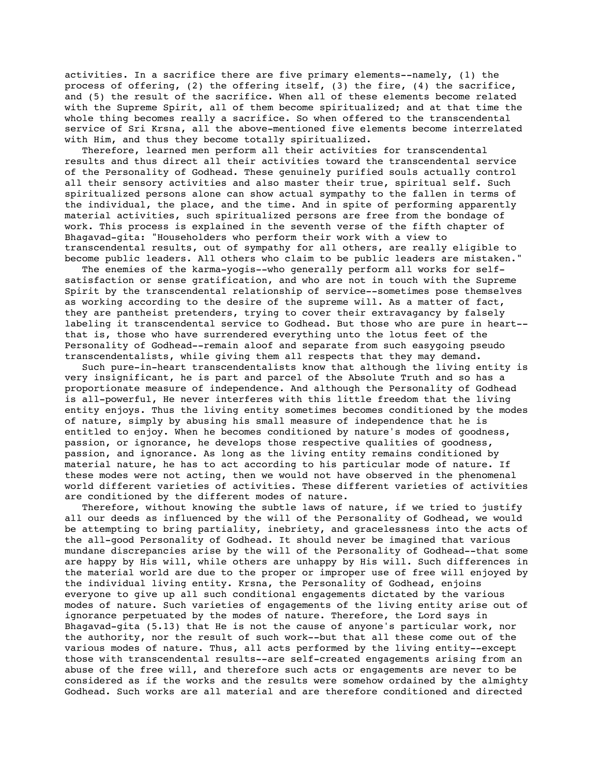activities. In a sacrifice there are five primary elements--namely, (1) the process of offering, (2) the offering itself, (3) the fire, (4) the sacrifice, and (5) the result of the sacrifice. When all of these elements become related with the Supreme Spirit, all of them become spiritualized; and at that time the whole thing becomes really a sacrifice. So when offered to the transcendental service of Sri Krsna, all the above-mentioned five elements become interrelated with Him, and thus they become totally spiritualized.

 Therefore, learned men perform all their activities for transcendental results and thus direct all their activities toward the transcendental service of the Personality of Godhead. These genuinely purified souls actually control all their sensory activities and also master their true, spiritual self. Such spiritualized persons alone can show actual sympathy to the fallen in terms of the individual, the place, and the time. And in spite of performing apparently material activities, such spiritualized persons are free from the bondage of work. This process is explained in the seventh verse of the fifth chapter of Bhagavad-gita: "Householders who perform their work with a view to transcendental results, out of sympathy for all others, are really eligible to become public leaders. All others who claim to be public leaders are mistaken."

 The enemies of the karma-yogis--who generally perform all works for selfsatisfaction or sense gratification, and who are not in touch with the Supreme Spirit by the transcendental relationship of service--sometimes pose themselves as working according to the desire of the supreme will. As a matter of fact, they are pantheist pretenders, trying to cover their extravagancy by falsely labeling it transcendental service to Godhead. But those who are pure in heart- that is, those who have surrendered everything unto the lotus feet of the Personality of Godhead--remain aloof and separate from such easygoing pseudo transcendentalists, while giving them all respects that they may demand.

 Such pure-in-heart transcendentalists know that although the living entity is very insignificant, he is part and parcel of the Absolute Truth and so has a proportionate measure of independence. And although the Personality of Godhead is all-powerful, He never interferes with this little freedom that the living entity enjoys. Thus the living entity sometimes becomes conditioned by the modes of nature, simply by abusing his small measure of independence that he is entitled to enjoy. When he becomes conditioned by nature's modes of goodness, passion, or ignorance, he develops those respective qualities of goodness, passion, and ignorance. As long as the living entity remains conditioned by material nature, he has to act according to his particular mode of nature. If these modes were not acting, then we would not have observed in the phenomenal world different varieties of activities. These different varieties of activities are conditioned by the different modes of nature.

 Therefore, without knowing the subtle laws of nature, if we tried to justify all our deeds as influenced by the will of the Personality of Godhead, we would be attempting to bring partiality, inebriety, and gracelessness into the acts of the all-good Personality of Godhead. It should never be imagined that various mundane discrepancies arise by the will of the Personality of Godhead--that some are happy by His will, while others are unhappy by His will. Such differences in the material world are due to the proper or improper use of free will enjoyed by the individual living entity. Krsna, the Personality of Godhead, enjoins everyone to give up all such conditional engagements dictated by the various modes of nature. Such varieties of engagements of the living entity arise out of ignorance perpetuated by the modes of nature. Therefore, the Lord says in Bhagavad-gita (5.13) that He is not the cause of anyone's particular work, nor the authority, nor the result of such work--but that all these come out of the various modes of nature. Thus, all acts performed by the living entity--except those with transcendental results--are self-created engagements arising from an abuse of the free will, and therefore such acts or engagements are never to be considered as if the works and the results were somehow ordained by the almighty Godhead. Such works are all material and are therefore conditioned and directed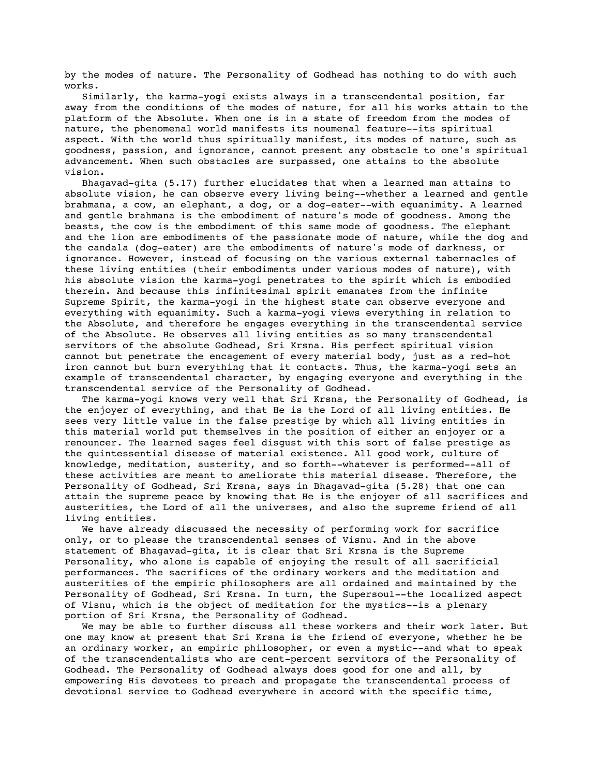by the modes of nature. The Personality of Godhead has nothing to do with such works.

 Similarly, the karma-yogi exists always in a transcendental position, far away from the conditions of the modes of nature, for all his works attain to the platform of the Absolute. When one is in a state of freedom from the modes of nature, the phenomenal world manifests its noumenal feature--its spiritual aspect. With the world thus spiritually manifest, its modes of nature, such as goodness, passion, and ignorance, cannot present any obstacle to one's spiritual advancement. When such obstacles are surpassed, one attains to the absolute vision.

 Bhagavad-gita (5.17) further elucidates that when a learned man attains to absolute vision, he can observe every living being--whether a learned and gentle brahmana, a cow, an elephant, a dog, or a dog-eater--with equanimity. A learned and gentle brahmana is the embodiment of nature's mode of goodness. Among the beasts, the cow is the embodiment of this same mode of goodness. The elephant and the lion are embodiments of the passionate mode of nature, while the dog and the candala (dog-eater) are the embodiments of nature's mode of darkness, or ignorance. However, instead of focusing on the various external tabernacles of these living entities (their embodiments under various modes of nature), with his absolute vision the karma-yogi penetrates to the spirit which is embodied therein. And because this infinitesimal spirit emanates from the infinite Supreme Spirit, the karma-yogi in the highest state can observe everyone and everything with equanimity. Such a karma-yogi views everything in relation to the Absolute, and therefore he engages everything in the transcendental service of the Absolute. He observes all living entities as so many transcendental servitors of the absolute Godhead, Sri Krsna. His perfect spiritual vision cannot but penetrate the encagement of every material body, just as a red-hot iron cannot but burn everything that it contacts. Thus, the karma-yogi sets an example of transcendental character, by engaging everyone and everything in the transcendental service of the Personality of Godhead.

 The karma-yogi knows very well that Sri Krsna, the Personality of Godhead, is the enjoyer of everything, and that He is the Lord of all living entities. He sees very little value in the false prestige by which all living entities in this material world put themselves in the position of either an enjoyer or a renouncer. The learned sages feel disgust with this sort of false prestige as the quintessential disease of material existence. All good work, culture of knowledge, meditation, austerity, and so forth--whatever is performed--all of these activities are meant to ameliorate this material disease. Therefore, the Personality of Godhead, Sri Krsna, says in Bhagavad-gita (5.28) that one can attain the supreme peace by knowing that He is the enjoyer of all sacrifices and austerities, the Lord of all the universes, and also the supreme friend of all living entities.

 We have already discussed the necessity of performing work for sacrifice only, or to please the transcendental senses of Visnu. And in the above statement of Bhagavad-gita, it is clear that Sri Krsna is the Supreme Personality, who alone is capable of enjoying the result of all sacrificial performances. The sacrifices of the ordinary workers and the meditation and austerities of the empiric philosophers are all ordained and maintained by the Personality of Godhead, Sri Krsna. In turn, the Supersoul--the localized aspect of Visnu, which is the object of meditation for the mystics--is a plenary portion of Sri Krsna, the Personality of Godhead.

 We may be able to further discuss all these workers and their work later. But one may know at present that Sri Krsna is the friend of everyone, whether he be an ordinary worker, an empiric philosopher, or even a mystic--and what to speak of the transcendentalists who are cent-percent servitors of the Personality of Godhead. The Personality of Godhead always does good for one and all, by empowering His devotees to preach and propagate the transcendental process of devotional service to Godhead everywhere in accord with the specific time,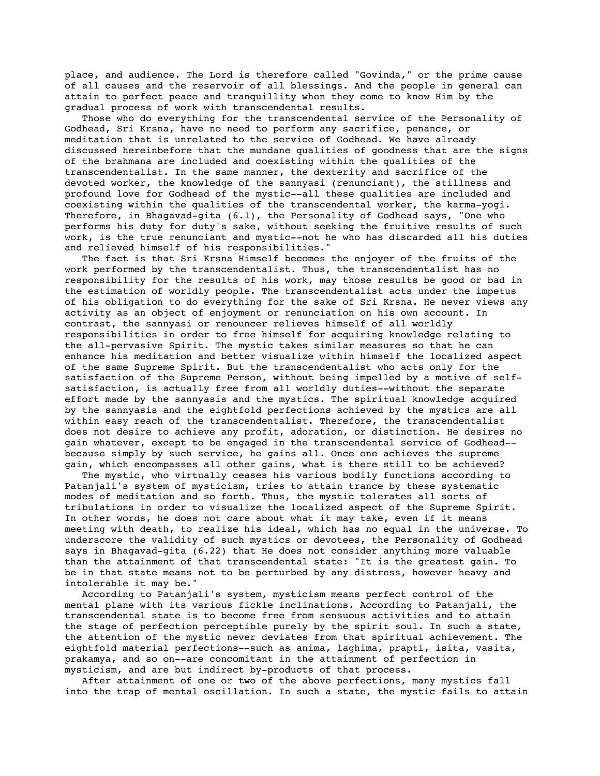place, and audience. The Lord is therefore called "Govinda," or the prime cause of all causes and the reservoir of all blessings. And the people in general can attain to perfect peace and tranquillity when they come to know Him by the gradual process of work with transcendental results.

 Those who do everything for the transcendental service of the Personality of Godhead, Sri Krsna, have no need to perform any sacrifice, penance, or meditation that is unrelated to the service of Godhead. We have already discussed hereinbefore that the mundane qualities of goodness that are the signs of the brahmana are included and coexisting within the qualities of the transcendentalist. In the same manner, the dexterity and sacrifice of the devoted worker, the knowledge of the sannyasi (renunciant), the stillness and profound love for Godhead of the mystic--all these qualities are included and coexisting within the qualities of the transcendental worker, the karma-yogi. Therefore, in Bhagavad-gita (6.1), the Personality of Godhead says, "One who performs his duty for duty's sake, without seeking the fruitive results of such work, is the true renunciant and mystic--not he who has discarded all his duties and relieved himself of his responsibilities."

 The fact is that Sri Krsna Himself becomes the enjoyer of the fruits of the work performed by the transcendentalist. Thus, the transcendentalist has no responsibility for the results of his work, may those results be good or bad in the estimation of worldly people. The transcendentalist acts under the impetus of his obligation to do everything for the sake of Sri Krsna. He never views any activity as an object of enjoyment or renunciation on his own account. In contrast, the sannyasi or renouncer relieves himself of all worldly responsibilities in order to free himself for acquiring knowledge relating to the all-pervasive Spirit. The mystic takes similar measures so that he can enhance his meditation and better visualize within himself the localized aspect of the same Supreme Spirit. But the transcendentalist who acts only for the satisfaction of the Supreme Person, without being impelled by a motive of selfsatisfaction, is actually free from all worldly duties--without the separate effort made by the sannyasis and the mystics. The spiritual knowledge acquired by the sannyasis and the eightfold perfections achieved by the mystics are all within easy reach of the transcendentalist. Therefore, the transcendentalist does not desire to achieve any profit, adoration, or distinction. He desires no gain whatever, except to be engaged in the transcendental service of Godhead- because simply by such service, he gains all. Once one achieves the supreme gain, which encompasses all other gains, what is there still to be achieved?

 The mystic, who virtually ceases his various bodily functions according to Patanjali's system of mysticism, tries to attain trance by these systematic modes of meditation and so forth. Thus, the mystic tolerates all sorts of tribulations in order to visualize the localized aspect of the Supreme Spirit. In other words, he does not care about what it may take, even if it means meeting with death, to realize his ideal, which has no equal in the universe. To underscore the validity of such mystics or devotees, the Personality of Godhead says in Bhagavad-gita (6.22) that He does not consider anything more valuable than the attainment of that transcendental state: "It is the greatest gain. To be in that state means not to be perturbed by any distress, however heavy and intolerable it may be."

 According to Patanjali's system, mysticism means perfect control of the mental plane with its various fickle inclinations. According to Patanjali, the transcendental state is to become free from sensuous activities and to attain the stage of perfection perceptible purely by the spirit soul. In such a state, the attention of the mystic never deviates from that spiritual achievement. The eightfold material perfections--such as anima, laghima, prapti, isita, vasita, prakamya, and so on--are concomitant in the attainment of perfection in mysticism, and are but indirect by-products of that process.

 After attainment of one or two of the above perfections, many mystics fall into the trap of mental oscillation. In such a state, the mystic fails to attain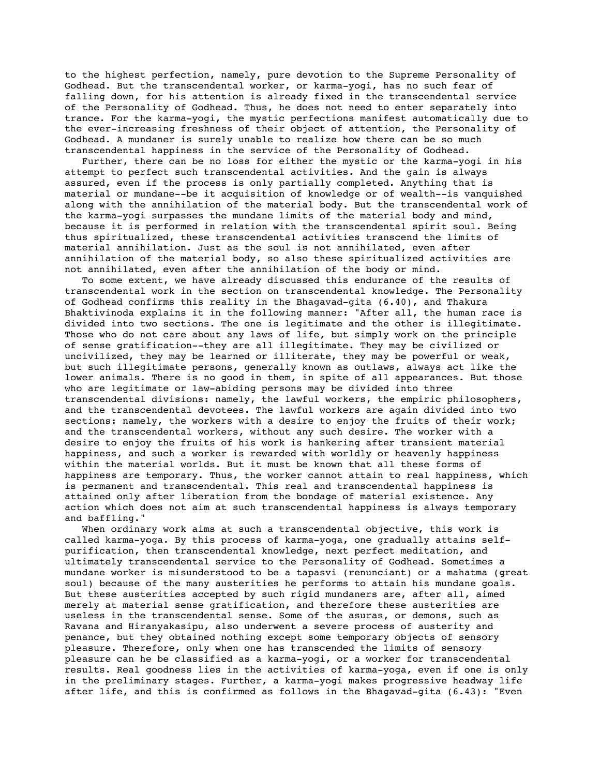to the highest perfection, namely, pure devotion to the Supreme Personality of Godhead. But the transcendental worker, or karma-yogi, has no such fear of falling down, for his attention is already fixed in the transcendental service of the Personality of Godhead. Thus, he does not need to enter separately into trance. For the karma-yogi, the mystic perfections manifest automatically due to the ever-increasing freshness of their object of attention, the Personality of Godhead. A mundaner is surely unable to realize how there can be so much transcendental happiness in the service of the Personality of Godhead.

 Further, there can be no loss for either the mystic or the karma-yogi in his attempt to perfect such transcendental activities. And the gain is always assured, even if the process is only partially completed. Anything that is material or mundane--be it acquisition of knowledge or of wealth--is vanquished along with the annihilation of the material body. But the transcendental work of the karma-yogi surpasses the mundane limits of the material body and mind, because it is performed in relation with the transcendental spirit soul. Being thus spiritualized, these transcendental activities transcend the limits of material annihilation. Just as the soul is not annihilated, even after annihilation of the material body, so also these spiritualized activities are not annihilated, even after the annihilation of the body or mind.

 To some extent, we have already discussed this endurance of the results of transcendental work in the section on transcendental knowledge. The Personality of Godhead confirms this reality in the Bhagavad-gita (6.40), and Thakura Bhaktivinoda explains it in the following manner: "After all, the human race is divided into two sections. The one is legitimate and the other is illegitimate. Those who do not care about any laws of life, but simply work on the principle of sense gratification--they are all illegitimate. They may be civilized or uncivilized, they may be learned or illiterate, they may be powerful or weak, but such illegitimate persons, generally known as outlaws, always act like the lower animals. There is no good in them, in spite of all appearances. But those who are legitimate or law-abiding persons may be divided into three transcendental divisions: namely, the lawful workers, the empiric philosophers, and the transcendental devotees. The lawful workers are again divided into two sections: namely, the workers with a desire to enjoy the fruits of their work; and the transcendental workers, without any such desire. The worker with a desire to enjoy the fruits of his work is hankering after transient material happiness, and such a worker is rewarded with worldly or heavenly happiness within the material worlds. But it must be known that all these forms of happiness are temporary. Thus, the worker cannot attain to real happiness, which is permanent and transcendental. This real and transcendental happiness is attained only after liberation from the bondage of material existence. Any action which does not aim at such transcendental happiness is always temporary and baffling."

 When ordinary work aims at such a transcendental objective, this work is called karma-yoga. By this process of karma-yoga, one gradually attains selfpurification, then transcendental knowledge, next perfect meditation, and ultimately transcendental service to the Personality of Godhead. Sometimes a mundane worker is misunderstood to be a tapasvi (renunciant) or a mahatma (great soul) because of the many austerities he performs to attain his mundane goals. But these austerities accepted by such rigid mundaners are, after all, aimed merely at material sense gratification, and therefore these austerities are useless in the transcendental sense. Some of the asuras, or demons, such as Ravana and Hiranyakasipu, also underwent a severe process of austerity and penance, but they obtained nothing except some temporary objects of sensory pleasure. Therefore, only when one has transcended the limits of sensory pleasure can he be classified as a karma-yogi, or a worker for transcendental results. Real goodness lies in the activities of karma-yoga, even if one is only in the preliminary stages. Further, a karma-yogi makes progressive headway life after life, and this is confirmed as follows in the Bhagavad-gita (6.43): "Even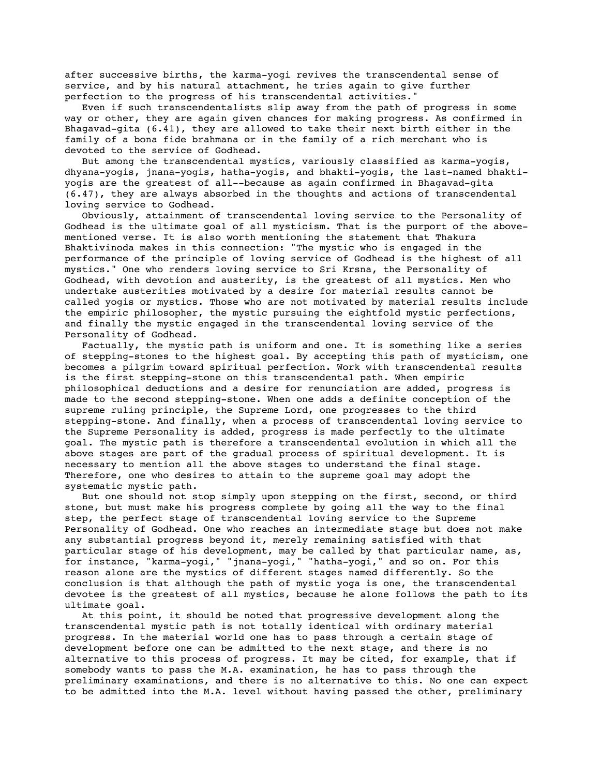after successive births, the karma-yogi revives the transcendental sense of service, and by his natural attachment, he tries again to give further perfection to the progress of his transcendental activities."

 Even if such transcendentalists slip away from the path of progress in some way or other, they are again given chances for making progress. As confirmed in Bhagavad-gita (6.41), they are allowed to take their next birth either in the family of a bona fide brahmana or in the family of a rich merchant who is devoted to the service of Godhead.

 But among the transcendental mystics, variously classified as karma-yogis, dhyana-yogis, jnana-yogis, hatha-yogis, and bhakti-yogis, the last-named bhaktiyogis are the greatest of all--because as again confirmed in Bhagavad-gita (6.47), they are always absorbed in the thoughts and actions of transcendental loving service to Godhead.

 Obviously, attainment of transcendental loving service to the Personality of Godhead is the ultimate goal of all mysticism. That is the purport of the abovementioned verse. It is also worth mentioning the statement that Thakura Bhaktivinoda makes in this connection: "The mystic who is engaged in the performance of the principle of loving service of Godhead is the highest of all mystics." One who renders loving service to Sri Krsna, the Personality of Godhead, with devotion and austerity, is the greatest of all mystics. Men who undertake austerities motivated by a desire for material results cannot be called yogis or mystics. Those who are not motivated by material results include the empiric philosopher, the mystic pursuing the eightfold mystic perfections, and finally the mystic engaged in the transcendental loving service of the Personality of Godhead.

 Factually, the mystic path is uniform and one. It is something like a series of stepping-stones to the highest goal. By accepting this path of mysticism, one becomes a pilgrim toward spiritual perfection. Work with transcendental results is the first stepping-stone on this transcendental path. When empiric philosophical deductions and a desire for renunciation are added, progress is made to the second stepping-stone. When one adds a definite conception of the supreme ruling principle, the Supreme Lord, one progresses to the third stepping-stone. And finally, when a process of transcendental loving service to the Supreme Personality is added, progress is made perfectly to the ultimate goal. The mystic path is therefore a transcendental evolution in which all the above stages are part of the gradual process of spiritual development. It is necessary to mention all the above stages to understand the final stage. Therefore, one who desires to attain to the supreme goal may adopt the systematic mystic path.

 But one should not stop simply upon stepping on the first, second, or third stone, but must make his progress complete by going all the way to the final step, the perfect stage of transcendental loving service to the Supreme Personality of Godhead. One who reaches an intermediate stage but does not make any substantial progress beyond it, merely remaining satisfied with that particular stage of his development, may be called by that particular name, as, for instance, "karma-yogi," "jnana-yogi," "hatha-yogi," and so on. For this reason alone are the mystics of different stages named differently. So the conclusion is that although the path of mystic yoga is one, the transcendental devotee is the greatest of all mystics, because he alone follows the path to its ultimate goal.

 At this point, it should be noted that progressive development along the transcendental mystic path is not totally identical with ordinary material progress. In the material world one has to pass through a certain stage of development before one can be admitted to the next stage, and there is no alternative to this process of progress. It may be cited, for example, that if somebody wants to pass the M.A. examination, he has to pass through the preliminary examinations, and there is no alternative to this. No one can expect to be admitted into the M.A. level without having passed the other, preliminary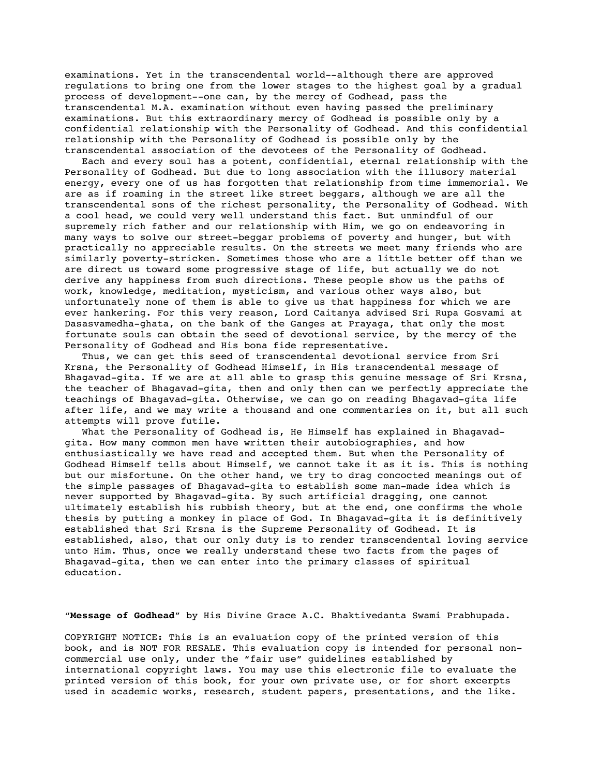examinations. Yet in the transcendental world--although there are approved regulations to bring one from the lower stages to the highest goal by a gradual process of development--one can, by the mercy of Godhead, pass the transcendental M.A. examination without even having passed the preliminary examinations. But this extraordinary mercy of Godhead is possible only by a confidential relationship with the Personality of Godhead. And this confidential relationship with the Personality of Godhead is possible only by the transcendental association of the devotees of the Personality of Godhead.

 Each and every soul has a potent, confidential, eternal relationship with the Personality of Godhead. But due to long association with the illusory material energy, every one of us has forgotten that relationship from time immemorial. We are as if roaming in the street like street beggars, although we are all the transcendental sons of the richest personality, the Personality of Godhead. With a cool head, we could very well understand this fact. But unmindful of our supremely rich father and our relationship with Him, we go on endeavoring in many ways to solve our street-beggar problems of poverty and hunger, but with practically no appreciable results. On the streets we meet many friends who are similarly poverty-stricken. Sometimes those who are a little better off than we are direct us toward some progressive stage of life, but actually we do not derive any happiness from such directions. These people show us the paths of work, knowledge, meditation, mysticism, and various other ways also, but unfortunately none of them is able to give us that happiness for which we are ever hankering. For this very reason, Lord Caitanya advised Sri Rupa Gosvami at Dasasvamedha-ghata, on the bank of the Ganges at Prayaga, that only the most fortunate souls can obtain the seed of devotional service, by the mercy of the Personality of Godhead and His bona fide representative.

 Thus, we can get this seed of transcendental devotional service from Sri Krsna, the Personality of Godhead Himself, in His transcendental message of Bhagavad-gita. If we are at all able to grasp this genuine message of Sri Krsna, the teacher of Bhagavad-gita, then and only then can we perfectly appreciate the teachings of Bhagavad-gita. Otherwise, we can go on reading Bhagavad-gita life after life, and we may write a thousand and one commentaries on it, but all such attempts will prove futile.

 What the Personality of Godhead is, He Himself has explained in Bhagavadgita. How many common men have written their autobiographies, and how enthusiastically we have read and accepted them. But when the Personality of Godhead Himself tells about Himself, we cannot take it as it is. This is nothing but our misfortune. On the other hand, we try to drag concocted meanings out of the simple passages of Bhagavad-gita to establish some man-made idea which is never supported by Bhagavad-gita. By such artificial dragging, one cannot ultimately establish his rubbish theory, but at the end, one confirms the whole thesis by putting a monkey in place of God. In Bhagavad-gita it is definitively established that Sri Krsna is the Supreme Personality of Godhead. It is established, also, that our only duty is to render transcendental loving service unto Him. Thus, once we really understand these two facts from the pages of Bhagavad-gita, then we can enter into the primary classes of spiritual education.

"**Message of Godhead**" by His Divine Grace A.C. Bhaktivedanta Swami Prabhupada.

COPYRIGHT NOTICE: This is an evaluation copy of the printed version of this book, and is NOT FOR RESALE. This evaluation copy is intended for personal noncommercial use only, under the "fair use" guidelines established by international copyright laws. You may use this electronic file to evaluate the printed version of this book, for your own private use, or for short excerpts used in academic works, research, student papers, presentations, and the like.